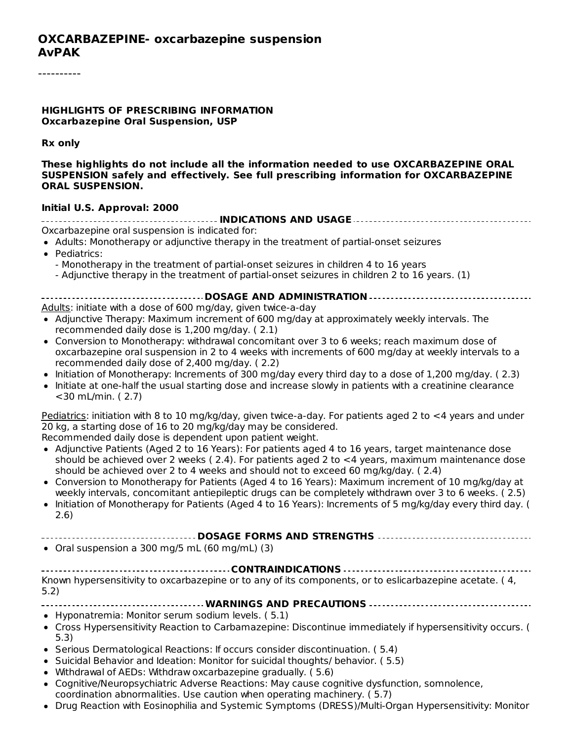#### **HIGHLIGHTS OF PRESCRIBING INFORMATION Oxcarbazepine Oral Suspension, USP**

**Rx only**

**These highlights do not include all the information needed to use OXCARBAZEPINE ORAL SUSPENSION safely and effectively. See full prescribing information for OXCARBAZEPINE ORAL SUSPENSION.**

#### **Initial U.S. Approval: 2000**

**INDICATIONS AND USAGE** Oxcarbazepine oral suspension is indicated for:

- Adults: Monotherapy or adjunctive therapy in the treatment of partial-onset seizures
- Pediatrics:
	- Monotherapy in the treatment of partial-onset seizures in children 4 to 16 years

- Adjunctive therapy in the treatment of partial-onset seizures in children 2 to 16 years. (1)

**DOSAGE AND ADMINISTRATION** Adults: initiate with a dose of 600 mg/day, given twice-a-day

- Adjunctive Therapy: Maximum increment of 600 mg/day at approximately weekly intervals. The recommended daily dose is 1,200 mg/day. ( 2.1)
- Conversion to Monotherapy: withdrawal concomitant over 3 to 6 weeks; reach maximum dose of oxcarbazepine oral suspension in 2 to 4 weeks with increments of 600 mg/day at weekly intervals to a recommended daily dose of 2,400 mg/day. ( 2.2)
- Initiation of Monotherapy: Increments of 300 mg/day every third day to a dose of 1,200 mg/day. (2.3)
- Initiate at one-half the usual starting dose and increase slowly in patients with a creatinine clearance <30 mL/min. ( 2.7)

Pediatrics: initiation with 8 to 10 mg/kg/day, given twice-a-day. For patients aged 2 to <4 years and under 20 kg, a starting dose of 16 to 20 mg/kg/day may be considered.

Recommended daily dose is dependent upon patient weight.

- Adjunctive Patients (Aged 2 to 16 Years): For patients aged 4 to 16 years, target maintenance dose should be achieved over 2 weeks ( 2.4). For patients aged 2 to <4 years, maximum maintenance dose should be achieved over 2 to 4 weeks and should not to exceed 60 mg/kg/day. ( 2.4)
- Conversion to Monotherapy for Patients (Aged 4 to 16 Years): Maximum increment of 10 mg/kg/day at weekly intervals, concomitant antiepileptic drugs can be completely withdrawn over 3 to 6 weeks. ( 2.5)
- Initiation of Monotherapy for Patients (Aged 4 to 16 Years): Increments of 5 mg/kg/day every third day. (  $\bullet$ 2.6)

**DOSAGE FORMS AND STRENGTHS**

 $\bullet$  Oral suspension a 300 mg/5 mL (60 mg/mL) (3)

**CONTRAINDICATIONS** Known hypersensitivity to oxcarbazepine or to any of its components, or to eslicarbazepine acetate. (4, 5.2)

- **WARNINGS AND PRECAUTIONS**
- Hyponatremia: Monitor serum sodium levels. ( 5.1)
- Cross Hypersensitivity Reaction to Carbamazepine: Discontinue immediately if hypersensitivity occurs. ( 5.3)
- Serious Dermatological Reactions: If occurs consider discontinuation. (5.4)
- Suicidal Behavior and Ideation: Monitor for suicidal thoughts/ behavior. (5.5)
- Withdrawal of AEDs: Withdraw oxcarbazepine gradually. ( 5.6)
- Cognitive/Neuropsychiatric Adverse Reactions: May cause cognitive dysfunction, somnolence, coordination abnormalities. Use caution when operating machinery. ( 5.7)
- Drug Reaction with Eosinophilia and Systemic Symptoms (DRESS)/Multi-Organ Hypersensitivity: Monitor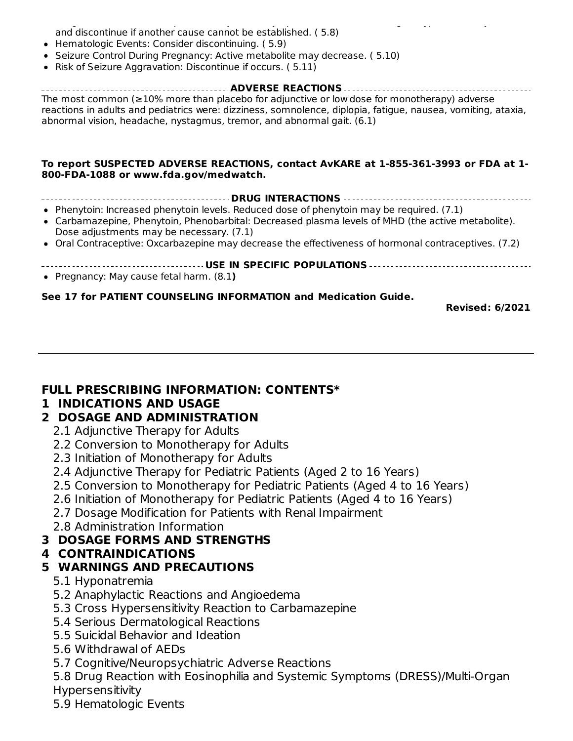Drug Reaction with Eosinophilia and Systemic Symptoms (DRESS)/Multi-Organ Hypersensitivity: Monitor and discontinue if another cause cannot be established. ( 5.8)

- Hematologic Events: Consider discontinuing. ( 5.9)
- Seizure Control During Pregnancy: Active metabolite may decrease. ( 5.10)
- Risk of Seizure Aggravation: Discontinue if occurs. (5.11)

#### **ADVERSE REACTIONS** The most common (≥10% more than placebo for adjunctive or low dose for monotherapy) adverse reactions in adults and pediatrics were: dizziness, somnolence, diplopia, fatigue, nausea, vomiting, ataxia, abnormal vision, headache, nystagmus, tremor, and abnormal gait. (6.1)

#### **To report SUSPECTED ADVERSE REACTIONS, contact AvKARE at 1-855-361-3993 or FDA at 1- 800-FDA-1088 or www.fda.gov/medwatch.**

- **DRUG INTERACTIONS**
- Phenytoin: Increased phenytoin levels. Reduced dose of phenytoin may be required. (7.1)
- Carbamazepine, Phenytoin, Phenobarbital: Decreased plasma levels of MHD (the active metabolite). Dose adjustments may be necessary. (7.1)
- Oral Contraceptive: Oxcarbazepine may decrease the effectiveness of hormonal contraceptives. (7.2)
- **USE IN SPECIFIC POPULATIONS**
- Pregnancy: May cause fetal harm. (8.1**)**

#### **See 17 for PATIENT COUNSELING INFORMATION and Medication Guide.**

**Revised: 6/2021**

#### **FULL PRESCRIBING INFORMATION: CONTENTS\***

#### **1 INDICATIONS AND USAGE**

#### **2 DOSAGE AND ADMINISTRATION**

- 2.1 Adjunctive Therapy for Adults
- 2.2 Conversion to Monotherapy for Adults
- 2.3 Initiation of Monotherapy for Adults
- 2.4 Adjunctive Therapy for Pediatric Patients (Aged 2 to 16 Years)
- 2.5 Conversion to Monotherapy for Pediatric Patients (Aged 4 to 16 Years)
- 2.6 Initiation of Monotherapy for Pediatric Patients (Aged 4 to 16 Years)
- 2.7 Dosage Modification for Patients with Renal Impairment
- 2.8 Administration Information

#### **3 DOSAGE FORMS AND STRENGTHS**

## **4 CONTRAINDICATIONS**

#### **5 WARNINGS AND PRECAUTIONS**

- 5.1 Hyponatremia
- 5.2 Anaphylactic Reactions and Angioedema
- 5.3 Cross Hypersensitivity Reaction to Carbamazepine
- 5.4 Serious Dermatological Reactions
- 5.5 Suicidal Behavior and Ideation
- 5.6 Withdrawal of AEDs
- 5.7 Cognitive/Neuropsychiatric Adverse Reactions
- 5.8 Drug Reaction with Eosinophilia and Systemic Symptoms (DRESS)/Multi-Organ Hypersensitivity
- 5.9 Hematologic Events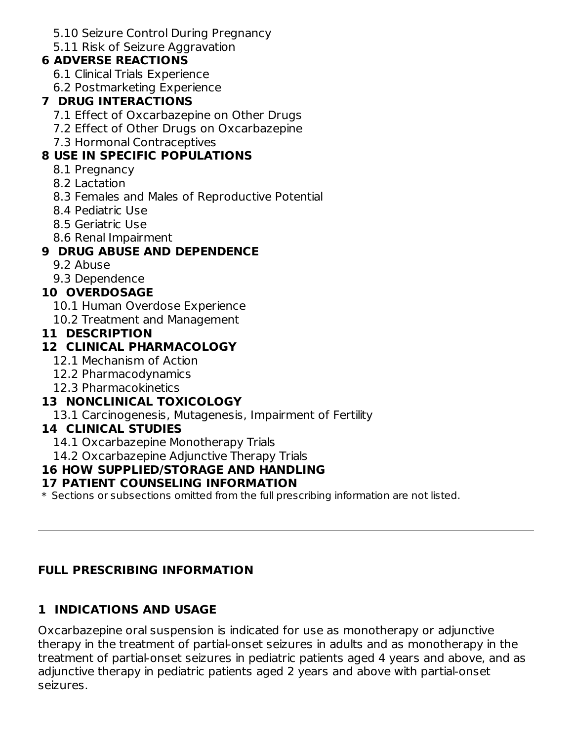5.10 Seizure Control During Pregnancy

5.11 Risk of Seizure Aggravation

### **6 ADVERSE REACTIONS**

- 6.1 Clinical Trials Experience
- 6.2 Postmarketing Experience

### **7 DRUG INTERACTIONS**

- 7.1 Effect of Oxcarbazepine on Other Drugs
- 7.2 Effect of Other Drugs on Oxcarbazepine
- 7.3 Hormonal Contraceptives

## **8 USE IN SPECIFIC POPULATIONS**

- 8.1 Pregnancy
- 8.2 Lactation
- 8.3 Females and Males of Reproductive Potential
- 8.4 Pediatric Use
- 8.5 Geriatric Use
- 8.6 Renal Impairment

### **9 DRUG ABUSE AND DEPENDENCE**

- 9.2 Abuse
- 9.3 Dependence

### **10 OVERDOSAGE**

- 10.1 Human Overdose Experience
- 10.2 Treatment and Management

#### **11 DESCRIPTION**

### **12 CLINICAL PHARMACOLOGY**

- 12.1 Mechanism of Action
- 12.2 Pharmacodynamics
- 12.3 Pharmacokinetics

### **13 NONCLINICAL TOXICOLOGY**

13.1 Carcinogenesis, Mutagenesis, Impairment of Fertility

#### **14 CLINICAL STUDIES**

- 14.1 Oxcarbazepine Monotherapy Trials
- 14.2 Oxcarbazepine Adjunctive Therapy Trials

### **16 HOW SUPPLIED/STORAGE AND HANDLING**

#### **17 PATIENT COUNSELING INFORMATION**

 $\ast$  Sections or subsections omitted from the full prescribing information are not listed.

### **FULL PRESCRIBING INFORMATION**

## **1 INDICATIONS AND USAGE**

Oxcarbazepine oral suspension is indicated for use as monotherapy or adjunctive therapy in the treatment of partial-onset seizures in adults and as monotherapy in the treatment of partial-onset seizures in pediatric patients aged 4 years and above, and as adjunctive therapy in pediatric patients aged 2 years and above with partial-onset seizures.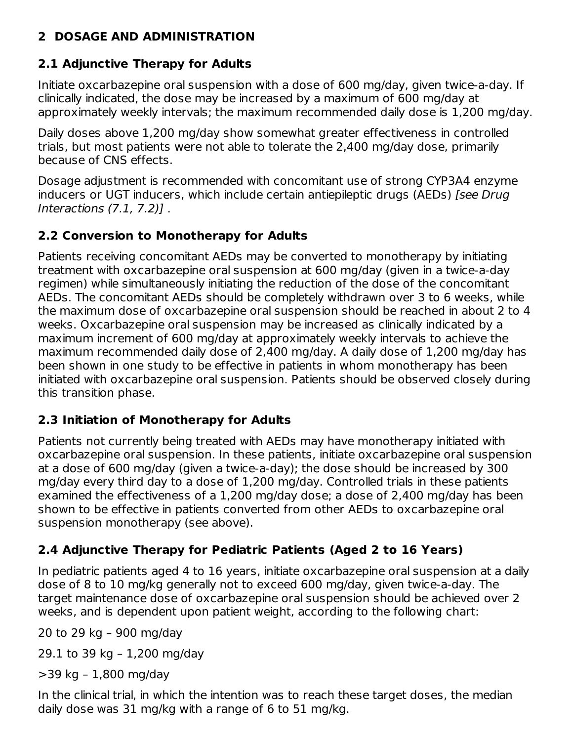### **2 DOSAGE AND ADMINISTRATION**

## **2.1 Adjunctive Therapy for Adults**

Initiate oxcarbazepine oral suspension with a dose of 600 mg/day, given twice-a-day. If clinically indicated, the dose may be increased by a maximum of 600 mg/day at approximately weekly intervals; the maximum recommended daily dose is 1,200 mg/day.

Daily doses above 1,200 mg/day show somewhat greater effectiveness in controlled trials, but most patients were not able to tolerate the 2,400 mg/day dose, primarily because of CNS effects.

Dosage adjustment is recommended with concomitant use of strong CYP3A4 enzyme inducers or UGT inducers, which include certain antiepileptic drugs (AEDs) [see Drug Interactions (7.1, 7.2)] .

# **2.2 Conversion to Monotherapy for Adults**

Patients receiving concomitant AEDs may be converted to monotherapy by initiating treatment with oxcarbazepine oral suspension at 600 mg/day (given in a twice-a-day regimen) while simultaneously initiating the reduction of the dose of the concomitant AEDs. The concomitant AEDs should be completely withdrawn over 3 to 6 weeks, while the maximum dose of oxcarbazepine oral suspension should be reached in about 2 to 4 weeks. Oxcarbazepine oral suspension may be increased as clinically indicated by a maximum increment of 600 mg/day at approximately weekly intervals to achieve the maximum recommended daily dose of 2,400 mg/day. A daily dose of 1,200 mg/day has been shown in one study to be effective in patients in whom monotherapy has been initiated with oxcarbazepine oral suspension. Patients should be observed closely during this transition phase.

# **2.3 Initiation of Monotherapy for Adults**

Patients not currently being treated with AEDs may have monotherapy initiated with oxcarbazepine oral suspension. In these patients, initiate oxcarbazepine oral suspension at a dose of 600 mg/day (given a twice-a-day); the dose should be increased by 300 mg/day every third day to a dose of 1,200 mg/day. Controlled trials in these patients examined the effectiveness of a 1,200 mg/day dose; a dose of 2,400 mg/day has been shown to be effective in patients converted from other AEDs to oxcarbazepine oral suspension monotherapy (see above).

# **2.4 Adjunctive Therapy for Pediatric Patients (Aged 2 to 16 Years)**

In pediatric patients aged 4 to 16 years, initiate oxcarbazepine oral suspension at a daily dose of 8 to 10 mg/kg generally not to exceed 600 mg/day, given twice-a-day. The target maintenance dose of oxcarbazepine oral suspension should be achieved over 2 weeks, and is dependent upon patient weight, according to the following chart:

20 to 29 kg – 900 mg/day

29.1 to 39 kg – 1,200 mg/day

>39 kg – 1,800 mg/day

In the clinical trial, in which the intention was to reach these target doses, the median daily dose was 31 mg/kg with a range of 6 to 51 mg/kg.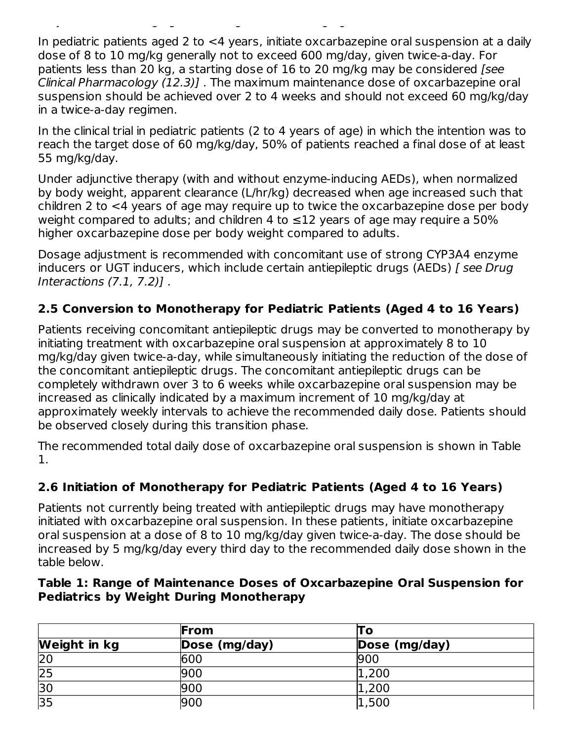In pediatric patients aged 2 to <4 years, initiate oxcarbazepine oral suspension at a daily dose of 8 to 10 mg/kg generally not to exceed 600 mg/day, given twice-a-day. For patients less than 20 kg, a starting dose of 16 to 20 mg/kg may be considered [see Clinical Pharmacology (12.3)] . The maximum maintenance dose of oxcarbazepine oral suspension should be achieved over 2 to 4 weeks and should not exceed 60 mg/kg/day in a twice-a-day regimen.

daily dose was 31 mg/kg with a range of 6 to 51 mg/kg.

In the clinical trial in pediatric patients (2 to 4 years of age) in which the intention was to reach the target dose of 60 mg/kg/day, 50% of patients reached a final dose of at least 55 mg/kg/day.

Under adjunctive therapy (with and without enzyme-inducing AEDs), when normalized by body weight, apparent clearance (L/hr/kg) decreased when age increased such that children 2 to <4 years of age may require up to twice the oxcarbazepine dose per body weight compared to adults; and children 4 to  $\leq$ 12 years of age may require a 50% higher oxcarbazepine dose per body weight compared to adults.

Dosage adjustment is recommended with concomitant use of strong CYP3A4 enzyme inducers or UGT inducers, which include certain antiepileptic drugs (AEDs) [ see Drug Interactions (7.1, 7.2)] .

### **2.5 Conversion to Monotherapy for Pediatric Patients (Aged 4 to 16 Years)**

Patients receiving concomitant antiepileptic drugs may be converted to monotherapy by initiating treatment with oxcarbazepine oral suspension at approximately 8 to 10 mg/kg/day given twice-a-day, while simultaneously initiating the reduction of the dose of the concomitant antiepileptic drugs. The concomitant antiepileptic drugs can be completely withdrawn over 3 to 6 weeks while oxcarbazepine oral suspension may be increased as clinically indicated by a maximum increment of 10 mg/kg/day at approximately weekly intervals to achieve the recommended daily dose. Patients should be observed closely during this transition phase.

The recommended total daily dose of oxcarbazepine oral suspension is shown in Table 1.

### **2.6 Initiation of Monotherapy for Pediatric Patients (Aged 4 to 16 Years)**

Patients not currently being treated with antiepileptic drugs may have monotherapy initiated with oxcarbazepine oral suspension. In these patients, initiate oxcarbazepine oral suspension at a dose of 8 to 10 mg/kg/day given twice-a-day. The dose should be increased by 5 mg/kg/day every third day to the recommended daily dose shown in the table below.

#### **Table 1: Range of Maintenance Doses of Oxcarbazepine Oral Suspension for Pediatrics by Weight During Monotherapy**

|                 | From          | l O           |
|-----------------|---------------|---------------|
| Weight in kg    | Dose (mg/day) | Dose (mg/day) |
| 20              | 600           | 900           |
| $\overline{25}$ | 900           | 1,200         |
| $\overline{30}$ | 900           | 1,200         |
| 35              | 900           | 1,500         |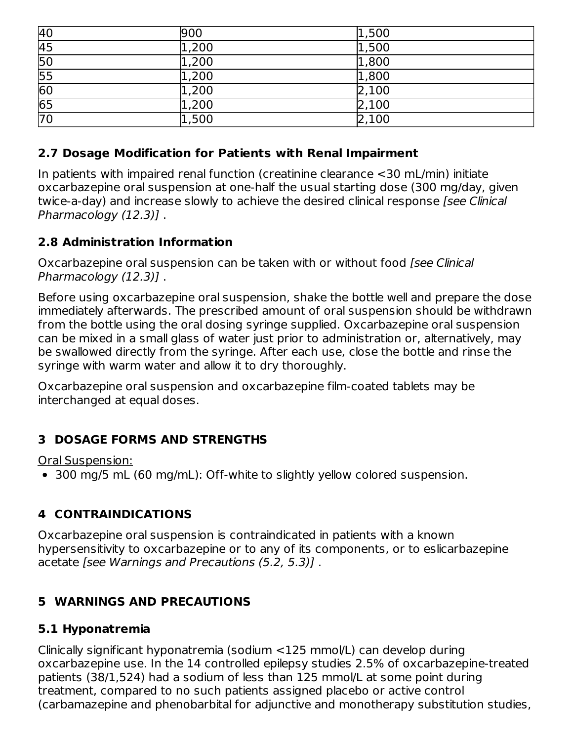| 40              | 900   | 1,500 |
|-----------------|-------|-------|
| $\overline{45}$ | 1,200 | 1,500 |
| 50              | 1,200 | 1,800 |
| $\frac{55}{60}$ | 1,200 | 1,800 |
|                 | 1,200 | 2,100 |
| 65              | 1,200 | 2,100 |
| $\overline{70}$ | 1,500 | 2,100 |

#### **2.7 Dosage Modification for Patients with Renal Impairment**

In patients with impaired renal function (creatinine clearance <30 mL/min) initiate oxcarbazepine oral suspension at one-half the usual starting dose (300 mg/day, given twice-a-day) and increase slowly to achieve the desired clinical response [see Clinical Pharmacology (12.3)] .

#### **2.8 Administration Information**

Oxcarbazepine oral suspension can be taken with or without food [see Clinical Pharmacology (12.3)] .

Before using oxcarbazepine oral suspension, shake the bottle well and prepare the dose immediately afterwards. The prescribed amount of oral suspension should be withdrawn from the bottle using the oral dosing syringe supplied. Oxcarbazepine oral suspension can be mixed in a small glass of water just prior to administration or, alternatively, may be swallowed directly from the syringe. After each use, close the bottle and rinse the syringe with warm water and allow it to dry thoroughly.

Oxcarbazepine oral suspension and oxcarbazepine film-coated tablets may be interchanged at equal doses.

#### **3 DOSAGE FORMS AND STRENGTHS**

Oral Suspension:

300 mg/5 mL (60 mg/mL): Off-white to slightly yellow colored suspension.

### **4 CONTRAINDICATIONS**

Oxcarbazepine oral suspension is contraindicated in patients with a known hypersensitivity to oxcarbazepine or to any of its components, or to eslicarbazepine acetate [see Warnings and Precautions (5.2, 5.3)] .

### **5 WARNINGS AND PRECAUTIONS**

#### **5.1 Hyponatremia**

Clinically significant hyponatremia (sodium <125 mmol/L) can develop during oxcarbazepine use. In the 14 controlled epilepsy studies 2.5% of oxcarbazepine-treated patients (38/1,524) had a sodium of less than 125 mmol/L at some point during treatment, compared to no such patients assigned placebo or active control (carbamazepine and phenobarbital for adjunctive and monotherapy substitution studies,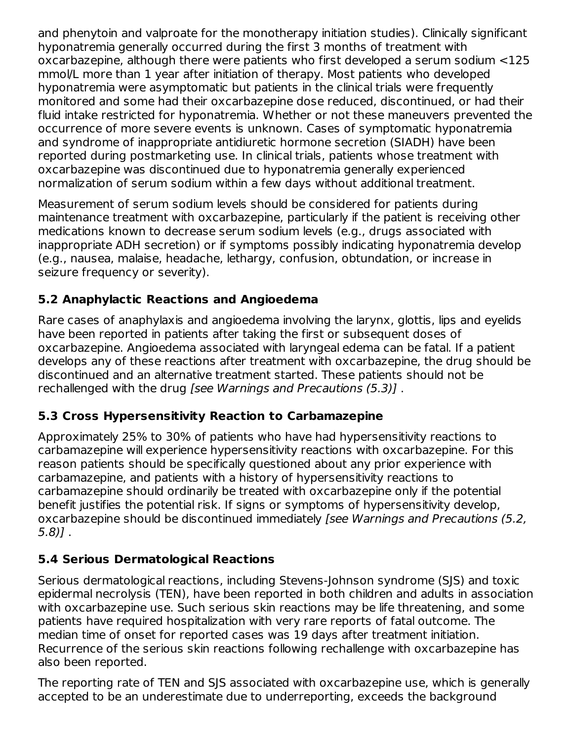and phenytoin and valproate for the monotherapy initiation studies). Clinically significant hyponatremia generally occurred during the first 3 months of treatment with oxcarbazepine, although there were patients who first developed a serum sodium <125 mmol/L more than 1 year after initiation of therapy. Most patients who developed hyponatremia were asymptomatic but patients in the clinical trials were frequently monitored and some had their oxcarbazepine dose reduced, discontinued, or had their fluid intake restricted for hyponatremia. Whether or not these maneuvers prevented the occurrence of more severe events is unknown. Cases of symptomatic hyponatremia and syndrome of inappropriate antidiuretic hormone secretion (SIADH) have been reported during postmarketing use. In clinical trials, patients whose treatment with oxcarbazepine was discontinued due to hyponatremia generally experienced normalization of serum sodium within a few days without additional treatment.

Measurement of serum sodium levels should be considered for patients during maintenance treatment with oxcarbazepine, particularly if the patient is receiving other medications known to decrease serum sodium levels (e.g., drugs associated with inappropriate ADH secretion) or if symptoms possibly indicating hyponatremia develop (e.g., nausea, malaise, headache, lethargy, confusion, obtundation, or increase in seizure frequency or severity).

### **5.2 Anaphylactic Reactions and Angioedema**

Rare cases of anaphylaxis and angioedema involving the larynx, glottis, lips and eyelids have been reported in patients after taking the first or subsequent doses of oxcarbazepine. Angioedema associated with laryngeal edema can be fatal. If a patient develops any of these reactions after treatment with oxcarbazepine, the drug should be discontinued and an alternative treatment started. These patients should not be rechallenged with the drug [see Warnings and Precautions (5.3)] .

### **5.3 Cross Hypersensitivity Reaction to Carbamazepine**

Approximately 25% to 30% of patients who have had hypersensitivity reactions to carbamazepine will experience hypersensitivity reactions with oxcarbazepine. For this reason patients should be specifically questioned about any prior experience with carbamazepine, and patients with a history of hypersensitivity reactions to carbamazepine should ordinarily be treated with oxcarbazepine only if the potential benefit justifies the potential risk. If signs or symptoms of hypersensitivity develop, oxcarbazepine should be discontinued immediately [see Warnings and Precautions (5.2, 5.8)] .

## **5.4 Serious Dermatological Reactions**

Serious dermatological reactions, including Stevens-Johnson syndrome (SJS) and toxic epidermal necrolysis (TEN), have been reported in both children and adults in association with oxcarbazepine use. Such serious skin reactions may be life threatening, and some patients have required hospitalization with very rare reports of fatal outcome. The median time of onset for reported cases was 19 days after treatment initiation. Recurrence of the serious skin reactions following rechallenge with oxcarbazepine has also been reported.

The reporting rate of TEN and SJS associated with oxcarbazepine use, which is generally accepted to be an underestimate due to underreporting, exceeds the background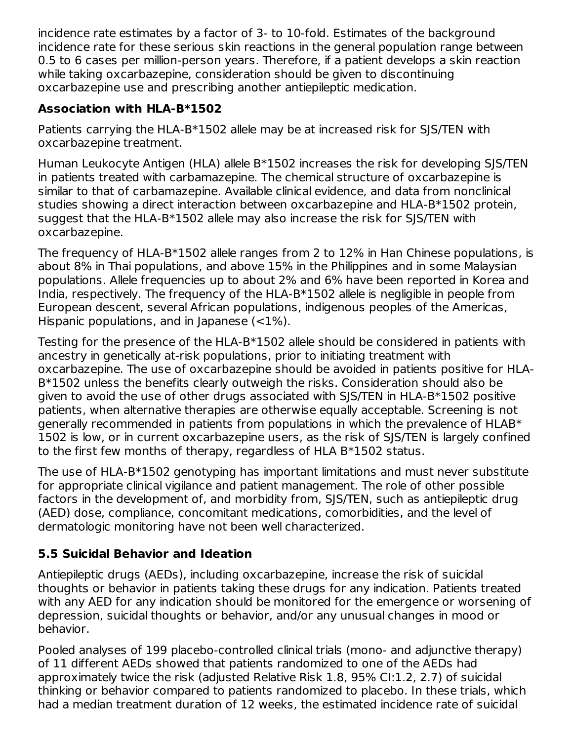incidence rate estimates by a factor of 3- to 10-fold. Estimates of the background incidence rate for these serious skin reactions in the general population range between 0.5 to 6 cases per million-person years. Therefore, if a patient develops a skin reaction while taking oxcarbazepine, consideration should be given to discontinuing oxcarbazepine use and prescribing another antiepileptic medication.

### **Association with HLA-B\*1502**

Patients carrying the HLA-B\*1502 allele may be at increased risk for SJS/TEN with oxcarbazepine treatment.

Human Leukocyte Antigen (HLA) allele B\*1502 increases the risk for developing SJS/TEN in patients treated with carbamazepine. The chemical structure of oxcarbazepine is similar to that of carbamazepine. Available clinical evidence, and data from nonclinical studies showing a direct interaction between oxcarbazepine and HLA-B\*1502 protein, suggest that the HLA-B\*1502 allele may also increase the risk for SJS/TEN with oxcarbazepine.

The frequency of HLA-B\*1502 allele ranges from 2 to 12% in Han Chinese populations, is about 8% in Thai populations, and above 15% in the Philippines and in some Malaysian populations. Allele frequencies up to about 2% and 6% have been reported in Korea and India, respectively. The frequency of the HLA-B\*1502 allele is negligible in people from European descent, several African populations, indigenous peoples of the Americas, Hispanic populations, and in Japanese  $\left($  < 1%).

Testing for the presence of the HLA-B\*1502 allele should be considered in patients with ancestry in genetically at-risk populations, prior to initiating treatment with oxcarbazepine. The use of oxcarbazepine should be avoided in patients positive for HLA-B\*1502 unless the benefits clearly outweigh the risks. Consideration should also be given to avoid the use of other drugs associated with SJS/TEN in HLA-B\*1502 positive patients, when alternative therapies are otherwise equally acceptable. Screening is not generally recommended in patients from populations in which the prevalence of HLAB\* 1502 is low, or in current oxcarbazepine users, as the risk of SJS/TEN is largely confined to the first few months of therapy, regardless of HLA B\*1502 status.

The use of HLA-B\*1502 genotyping has important limitations and must never substitute for appropriate clinical vigilance and patient management. The role of other possible factors in the development of, and morbidity from, SJS/TEN, such as antiepileptic drug (AED) dose, compliance, concomitant medications, comorbidities, and the level of dermatologic monitoring have not been well characterized.

### **5.5 Suicidal Behavior and Ideation**

Antiepileptic drugs (AEDs), including oxcarbazepine, increase the risk of suicidal thoughts or behavior in patients taking these drugs for any indication. Patients treated with any AED for any indication should be monitored for the emergence or worsening of depression, suicidal thoughts or behavior, and/or any unusual changes in mood or behavior.

Pooled analyses of 199 placebo-controlled clinical trials (mono- and adjunctive therapy) of 11 different AEDs showed that patients randomized to one of the AEDs had approximately twice the risk (adjusted Relative Risk 1.8, 95% CI:1.2, 2.7) of suicidal thinking or behavior compared to patients randomized to placebo. In these trials, which had a median treatment duration of 12 weeks, the estimated incidence rate of suicidal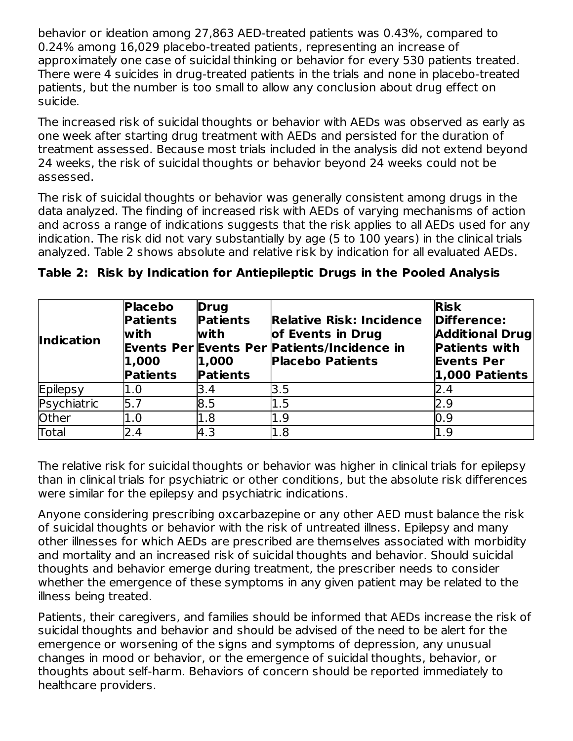behavior or ideation among 27,863 AED-treated patients was 0.43%, compared to 0.24% among 16,029 placebo-treated patients, representing an increase of approximately one case of suicidal thinking or behavior for every 530 patients treated. There were 4 suicides in drug-treated patients in the trials and none in placebo-treated patients, but the number is too small to allow any conclusion about drug effect on suicide.

The increased risk of suicidal thoughts or behavior with AEDs was observed as early as one week after starting drug treatment with AEDs and persisted for the duration of treatment assessed. Because most trials included in the analysis did not extend beyond 24 weeks, the risk of suicidal thoughts or behavior beyond 24 weeks could not be assessed.

The risk of suicidal thoughts or behavior was generally consistent among drugs in the data analyzed. The finding of increased risk with AEDs of varying mechanisms of action and across a range of indications suggests that the risk applies to all AEDs used for any indication. The risk did not vary substantially by age (5 to 100 years) in the clinical trials analyzed. Table 2 shows absolute and relative risk by indication for all evaluated AEDs.

| <b>Indication</b> | <b>Placebo</b><br><b>Patients</b><br>with<br>1,000<br><b>Patients</b> | <b>Drug</b><br><b>Patients</b><br>with<br> 1,000 <br><b>Patients</b> | <b>Relative Risk: Incidence</b><br>of Events in Drug<br><b>Events Per Events Per Patients/Incidence in</b><br><b>Placebo Patients</b> | <b>Risk</b><br>Difference:<br><b>Additional Drug</b><br><b>Patients with</b><br><b>Events Per</b><br>1,000 Patients |
|-------------------|-----------------------------------------------------------------------|----------------------------------------------------------------------|---------------------------------------------------------------------------------------------------------------------------------------|---------------------------------------------------------------------------------------------------------------------|
| Epilepsy          | 1.0                                                                   | 3.4                                                                  | l3.5                                                                                                                                  | 2.4                                                                                                                 |
| Psychiatric       | 5.7                                                                   | 8.5                                                                  | 1.5                                                                                                                                   | 2.9                                                                                                                 |
| Other             | 1.0                                                                   | 1.8                                                                  | l1.9                                                                                                                                  | 0.9                                                                                                                 |
| Total             | 2.4                                                                   | 4.3                                                                  | 1.8                                                                                                                                   | 1.9                                                                                                                 |

|  | Table 2: Risk by Indication for Antiepileptic Drugs in the Pooled Analysis |  |  |  |  |
|--|----------------------------------------------------------------------------|--|--|--|--|
|  |                                                                            |  |  |  |  |

The relative risk for suicidal thoughts or behavior was higher in clinical trials for epilepsy than in clinical trials for psychiatric or other conditions, but the absolute risk differences were similar for the epilepsy and psychiatric indications.

Anyone considering prescribing oxcarbazepine or any other AED must balance the risk of suicidal thoughts or behavior with the risk of untreated illness. Epilepsy and many other illnesses for which AEDs are prescribed are themselves associated with morbidity and mortality and an increased risk of suicidal thoughts and behavior. Should suicidal thoughts and behavior emerge during treatment, the prescriber needs to consider whether the emergence of these symptoms in any given patient may be related to the illness being treated.

Patients, their caregivers, and families should be informed that AEDs increase the risk of suicidal thoughts and behavior and should be advised of the need to be alert for the emergence or worsening of the signs and symptoms of depression, any unusual changes in mood or behavior, or the emergence of suicidal thoughts, behavior, or thoughts about self-harm. Behaviors of concern should be reported immediately to healthcare providers.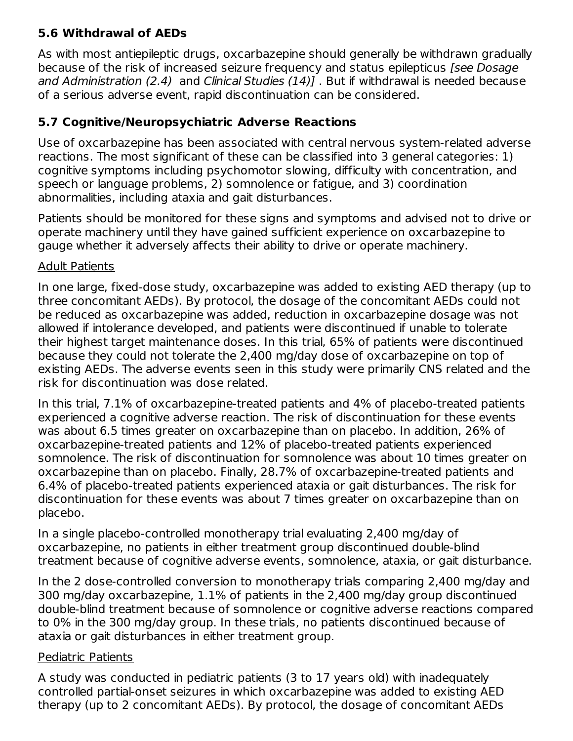### **5.6 Withdrawal of AEDs**

As with most antiepileptic drugs, oxcarbazepine should generally be withdrawn gradually because of the risk of increased seizure frequency and status epilepticus [see Dosage] and Administration (2.4) and Clinical Studies (14)] . But if withdrawal is needed because of a serious adverse event, rapid discontinuation can be considered.

### **5.7 Cognitive/Neuropsychiatric Adverse Reactions**

Use of oxcarbazepine has been associated with central nervous system-related adverse reactions. The most significant of these can be classified into 3 general categories: 1) cognitive symptoms including psychomotor slowing, difficulty with concentration, and speech or language problems, 2) somnolence or fatigue, and 3) coordination abnormalities, including ataxia and gait disturbances.

Patients should be monitored for these signs and symptoms and advised not to drive or operate machinery until they have gained sufficient experience on oxcarbazepine to gauge whether it adversely affects their ability to drive or operate machinery.

#### Adult Patients

In one large, fixed-dose study, oxcarbazepine was added to existing AED therapy (up to three concomitant AEDs). By protocol, the dosage of the concomitant AEDs could not be reduced as oxcarbazepine was added, reduction in oxcarbazepine dosage was not allowed if intolerance developed, and patients were discontinued if unable to tolerate their highest target maintenance doses. In this trial, 65% of patients were discontinued because they could not tolerate the 2,400 mg/day dose of oxcarbazepine on top of existing AEDs. The adverse events seen in this study were primarily CNS related and the risk for discontinuation was dose related.

In this trial, 7.1% of oxcarbazepine-treated patients and 4% of placebo-treated patients experienced a cognitive adverse reaction. The risk of discontinuation for these events was about 6.5 times greater on oxcarbazepine than on placebo. In addition, 26% of oxcarbazepine-treated patients and 12% of placebo-treated patients experienced somnolence. The risk of discontinuation for somnolence was about 10 times greater on oxcarbazepine than on placebo. Finally, 28.7% of oxcarbazepine-treated patients and 6.4% of placebo-treated patients experienced ataxia or gait disturbances. The risk for discontinuation for these events was about 7 times greater on oxcarbazepine than on placebo.

In a single placebo-controlled monotherapy trial evaluating 2,400 mg/day of oxcarbazepine, no patients in either treatment group discontinued double-blind treatment because of cognitive adverse events, somnolence, ataxia, or gait disturbance.

In the 2 dose-controlled conversion to monotherapy trials comparing 2,400 mg/day and 300 mg/day oxcarbazepine, 1.1% of patients in the 2,400 mg/day group discontinued double-blind treatment because of somnolence or cognitive adverse reactions compared to 0% in the 300 mg/day group. In these trials, no patients discontinued because of ataxia or gait disturbances in either treatment group.

#### Pediatric Patients

A study was conducted in pediatric patients (3 to 17 years old) with inadequately controlled partial-onset seizures in which oxcarbazepine was added to existing AED therapy (up to 2 concomitant AEDs). By protocol, the dosage of concomitant AEDs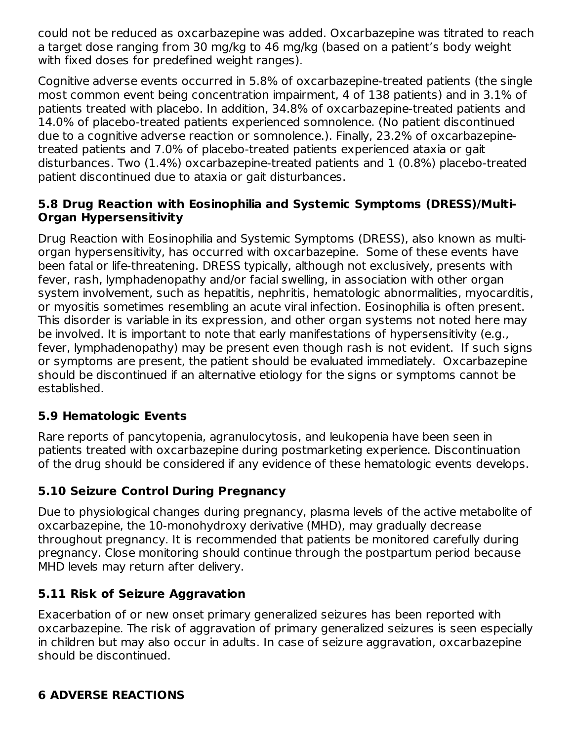could not be reduced as oxcarbazepine was added. Oxcarbazepine was titrated to reach a target dose ranging from 30 mg/kg to 46 mg/kg (based on a patient's body weight with fixed doses for predefined weight ranges).

Cognitive adverse events occurred in 5.8% of oxcarbazepine-treated patients (the single most common event being concentration impairment, 4 of 138 patients) and in 3.1% of patients treated with placebo. In addition, 34.8% of oxcarbazepine-treated patients and 14.0% of placebo-treated patients experienced somnolence. (No patient discontinued due to a cognitive adverse reaction or somnolence.). Finally, 23.2% of oxcarbazepinetreated patients and 7.0% of placebo-treated patients experienced ataxia or gait disturbances. Two (1.4%) oxcarbazepine-treated patients and 1 (0.8%) placebo-treated patient discontinued due to ataxia or gait disturbances.

#### **5.8 Drug Reaction with Eosinophilia and Systemic Symptoms (DRESS)/Multi-Organ Hypersensitivity**

Drug Reaction with Eosinophilia and Systemic Symptoms (DRESS), also known as multiorgan hypersensitivity, has occurred with oxcarbazepine. Some of these events have been fatal or life-threatening. DRESS typically, although not exclusively, presents with fever, rash, lymphadenopathy and/or facial swelling, in association with other organ system involvement, such as hepatitis, nephritis, hematologic abnormalities, myocarditis, or myositis sometimes resembling an acute viral infection. Eosinophilia is often present. This disorder is variable in its expression, and other organ systems not noted here may be involved. It is important to note that early manifestations of hypersensitivity (e.g., fever, lymphadenopathy) may be present even though rash is not evident. If such signs or symptoms are present, the patient should be evaluated immediately. Oxcarbazepine should be discontinued if an alternative etiology for the signs or symptoms cannot be established.

#### **5.9 Hematologic Events**

Rare reports of pancytopenia, agranulocytosis, and leukopenia have been seen in patients treated with oxcarbazepine during postmarketing experience. Discontinuation of the drug should be considered if any evidence of these hematologic events develops.

### **5.10 Seizure Control During Pregnancy**

Due to physiological changes during pregnancy, plasma levels of the active metabolite of oxcarbazepine, the 10-monohydroxy derivative (MHD), may gradually decrease throughout pregnancy. It is recommended that patients be monitored carefully during pregnancy. Close monitoring should continue through the postpartum period because MHD levels may return after delivery.

#### **5.11 Risk of Seizure Aggravation**

Exacerbation of or new onset primary generalized seizures has been reported with oxcarbazepine. The risk of aggravation of primary generalized seizures is seen especially in children but may also occur in adults. In case of seizure aggravation, oxcarbazepine should be discontinued.

#### **6 ADVERSE REACTIONS**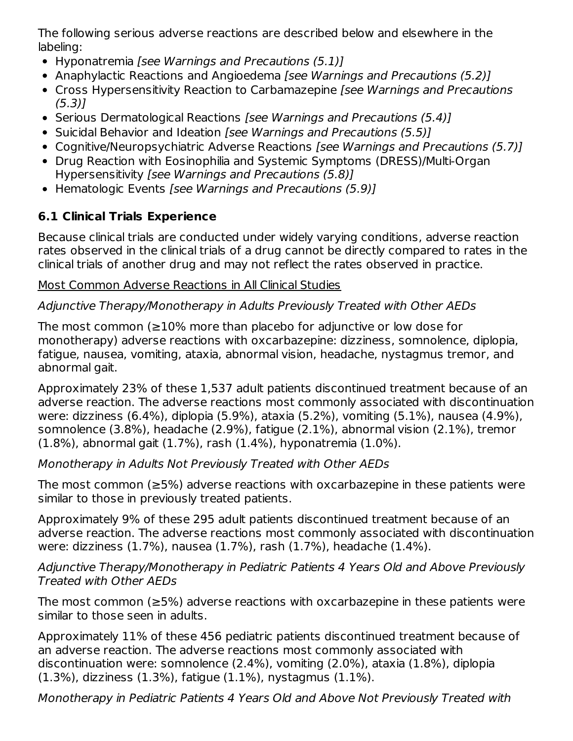The following serious adverse reactions are described below and elsewhere in the labeling:

- Hyponatremia [see Warnings and Precautions (5.1)]
- Anaphylactic Reactions and Angioedema [see Warnings and Precautions (5.2)]
- Cross Hypersensitivity Reaction to Carbamazepine [see Warnings and Precautions]  $(5.3)$ ]
- Serious Dermatological Reactions [see Warnings and Precautions (5.4)]
- Suicidal Behavior and Ideation [see Warnings and Precautions (5.5)]
- Cognitive/Neuropsychiatric Adverse Reactions [see Warnings and Precautions (5.7)]
- Drug Reaction with Eosinophilia and Systemic Symptoms (DRESS)/Multi-Organ Hypersensitivity [see Warnings and Precautions (5.8)]
- Hematologic Events [see Warnings and Precautions (5.9)]

# **6.1 Clinical Trials Experience**

Because clinical trials are conducted under widely varying conditions, adverse reaction rates observed in the clinical trials of a drug cannot be directly compared to rates in the clinical trials of another drug and may not reflect the rates observed in practice.

### Most Common Adverse Reactions in All Clinical Studies

## Adjunctive Therapy/Monotherapy in Adults Previously Treated with Other AEDs

The most common (≥10% more than placebo for adjunctive or low dose for monotherapy) adverse reactions with oxcarbazepine: dizziness, somnolence, diplopia, fatigue, nausea, vomiting, ataxia, abnormal vision, headache, nystagmus tremor, and abnormal gait.

Approximately 23% of these 1,537 adult patients discontinued treatment because of an adverse reaction. The adverse reactions most commonly associated with discontinuation were: dizziness (6.4%), diplopia (5.9%), ataxia (5.2%), vomiting (5.1%), nausea (4.9%), somnolence (3.8%), headache (2.9%), fatigue (2.1%), abnormal vision (2.1%), tremor (1.8%), abnormal gait (1.7%), rash (1.4%), hyponatremia (1.0%).

### Monotherapy in Adults Not Previously Treated with Other AEDs

The most common (≥5%) adverse reactions with oxcarbazepine in these patients were similar to those in previously treated patients.

Approximately 9% of these 295 adult patients discontinued treatment because of an adverse reaction. The adverse reactions most commonly associated with discontinuation were: dizziness (1.7%), nausea (1.7%), rash (1.7%), headache (1.4%).

Adjunctive Therapy/Monotherapy in Pediatric Patients 4 Years Old and Above Previously Treated with Other AEDs

The most common (≥5%) adverse reactions with oxcarbazepine in these patients were similar to those seen in adults.

Approximately 11% of these 456 pediatric patients discontinued treatment because of an adverse reaction. The adverse reactions most commonly associated with discontinuation were: somnolence (2.4%), vomiting (2.0%), ataxia (1.8%), diplopia (1.3%), dizziness (1.3%), fatigue (1.1%), nystagmus (1.1%).

Monotherapy in Pediatric Patients 4 Years Old and Above Not Previously Treated with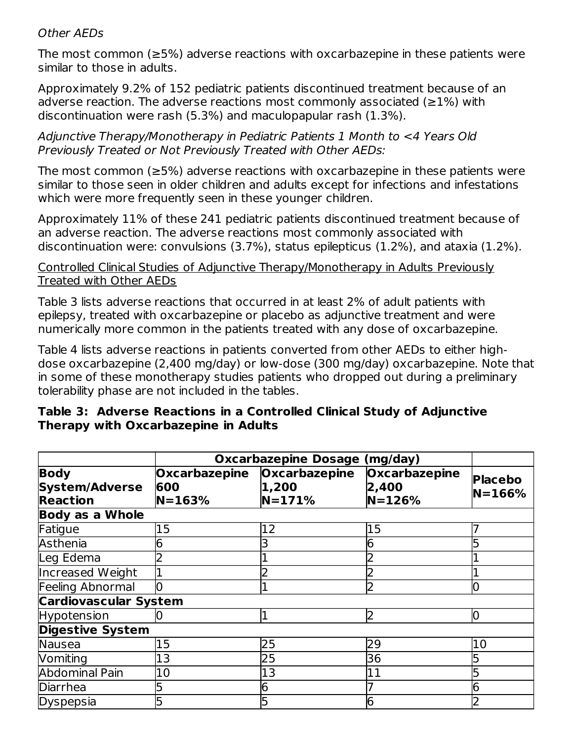#### Other AEDs

The most common (≥5%) adverse reactions with oxcarbazepine in these patients were similar to those in adults.

Approximately 9.2% of 152 pediatric patients discontinued treatment because of an adverse reaction. The adverse reactions most commonly associated ( $\geq$ 1%) with discontinuation were rash (5.3%) and maculopapular rash (1.3%).

Adjunctive Therapy/Monotherapy in Pediatric Patients 1 Month to <4 Years Old Previously Treated or Not Previously Treated with Other AEDs:

The most common (≥5%) adverse reactions with oxcarbazepine in these patients were similar to those seen in older children and adults except for infections and infestations which were more frequently seen in these younger children.

Approximately 11% of these 241 pediatric patients discontinued treatment because of an adverse reaction. The adverse reactions most commonly associated with discontinuation were: convulsions (3.7%), status epilepticus (1.2%), and ataxia (1.2%).

#### Controlled Clinical Studies of Adjunctive Therapy/Monotherapy in Adults Previously Treated with Other AEDs

Table 3 lists adverse reactions that occurred in at least 2% of adult patients with epilepsy, treated with oxcarbazepine or placebo as adjunctive treatment and were numerically more common in the patients treated with any dose of oxcarbazepine.

Table 4 lists adverse reactions in patients converted from other AEDs to either highdose oxcarbazepine (2,400 mg/day) or low-dose (300 mg/day) oxcarbazepine. Note that in some of these monotherapy studies patients who dropped out during a preliminary tolerability phase are not included in the tables.

|                                                         |                                           | <b>Oxcarbazepine Dosage (mg/day)</b> |                                      |                              |
|---------------------------------------------------------|-------------------------------------------|--------------------------------------|--------------------------------------|------------------------------|
| <b>Body</b><br><b>System/Adverse</b><br><b>Reaction</b> | <b>Oxcarbazepine</b><br>600<br>$N = 163%$ | Oxcarbazepine<br>1,200<br>$N = 171%$ | Oxcarbazepine<br>2,400<br>$N = 126%$ | <b>Placebo</b><br>$N = 166%$ |
| <b>Body as a Whole</b>                                  |                                           |                                      |                                      |                              |
| Fatigue                                                 | 15                                        | 12                                   | 15                                   |                              |
| Asthenia                                                | 6                                         |                                      | 6                                    |                              |
| Leg Edema                                               |                                           |                                      |                                      |                              |
| Increased Weight                                        |                                           |                                      |                                      |                              |
| Feeling Abnormal                                        | 0                                         |                                      |                                      | O                            |
| <b>Cardiovascular System</b>                            |                                           |                                      |                                      |                              |
| Hypotension                                             |                                           |                                      | 2                                    | 10                           |
| <b>Digestive System</b>                                 |                                           |                                      |                                      |                              |
| Nausea                                                  | 15                                        | 25                                   | 29                                   | 10                           |
| Vomiting                                                | 13                                        | 25                                   | 36                                   |                              |
| <b>Abdominal Pain</b>                                   | 10                                        | 13                                   | 11                                   |                              |
| <b>Diarrhea</b>                                         | 5                                         | 6                                    |                                      | 6                            |
| Dyspepsia                                               | 5                                         |                                      | 6                                    |                              |

#### **Table 3: Adverse Reactions in a Controlled Clinical Study of Adjunctive Therapy with Oxcarbazepine in Adults**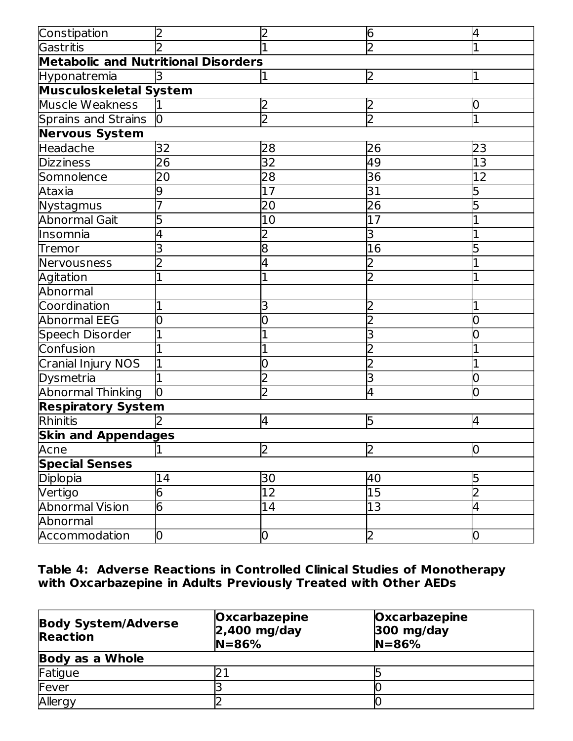| Constipation                               | 2              |                | 6              | 4                       |
|--------------------------------------------|----------------|----------------|----------------|-------------------------|
| Gastritis                                  |                |                | $\overline{2}$ | 1                       |
| <b>Metabolic and Nutritional Disorders</b> |                |                |                |                         |
| Hyponatremia                               |                |                | 2              | I1                      |
| <b>Musculoskeletal System</b>              |                |                |                |                         |
| Muscle Weakness                            |                | $\mathsf{S}$   | 2              | 0                       |
| <b>Sprains and Strains</b>                 | $\overline{0}$ | $\overline{2}$ | $\overline{2}$ | $\overline{1}$          |
| <b>Nervous System</b>                      |                |                |                |                         |
| Headache                                   | 32             | 28             | 26             | 23                      |
| <b>Dizziness</b>                           | 26             | 32             | 49             | 13                      |
| Somnolence                                 | 20             | 28             | 36             | 12                      |
| Ataxia                                     | 9              | 17             | 31             | 5                       |
| Nystagmus                                  | 7              | 20             | 26             | 5                       |
| Abnormal Gait                              | 5              | 10             | 17             |                         |
| Insomnia                                   | 4              |                | З              |                         |
| Tremor                                     | 3              | 8              | 16             |                         |
| Nervousness                                | $\overline{2}$ | 4              |                |                         |
| Agitation                                  |                |                |                |                         |
| Abnormal                                   |                |                |                |                         |
| Coordination                               | 1              | 3              |                |                         |
| <b>Abnormal EEG</b>                        | 0              | 0              | 2              | 0                       |
| Speech Disorder                            |                |                | 3              |                         |
| Confusion                                  |                |                |                |                         |
| Cranial Injury NOS                         | 1              | 0              | 2              |                         |
| Dysmetria                                  |                |                | 3              | 0                       |
| <b>Abnormal Thinking</b>                   | lo             | $\overline{2}$ | 4              | O                       |
| <b>Respiratory System</b>                  |                |                |                |                         |
| Rhinitis                                   |                | 4              | 5              | 4                       |
| <b>Skin and Appendages</b>                 |                |                |                |                         |
| Acne                                       | $\overline{1}$ | 2              | 2              | 10                      |
| <b>Special Senses</b>                      |                |                |                |                         |
| Diplopia                                   | 14             | 30             | 40             | 5                       |
| Vertigo                                    | 6              | 12             | 15             | $\overline{2}$          |
| <b>Abnormal Vision</b>                     | 6              | 14             | 13             | $\overline{\mathsf{r}}$ |
| Abnormal                                   |                |                |                |                         |
| Accommodation                              | 0              | 0              | $\overline{2}$ | $\overline{0}$          |

**Table 4: Adverse Reactions in Controlled Clinical Studies of Monotherapy with Oxcarbazepine in Adults Previously Treated with Other AEDs**

| <b>Body System/Adverse</b><br><b>Reaction</b> | <b>Oxcarbazepine</b><br>$2,400$ mg/day<br>$N = 86%$ | Oxcarbazepine<br>$300$ mg/day<br>$N = 86%$ |
|-----------------------------------------------|-----------------------------------------------------|--------------------------------------------|
| <b>Body as a Whole</b>                        |                                                     |                                            |
| Fatigue                                       |                                                     |                                            |
| Fever                                         |                                                     |                                            |
| Allergy                                       |                                                     |                                            |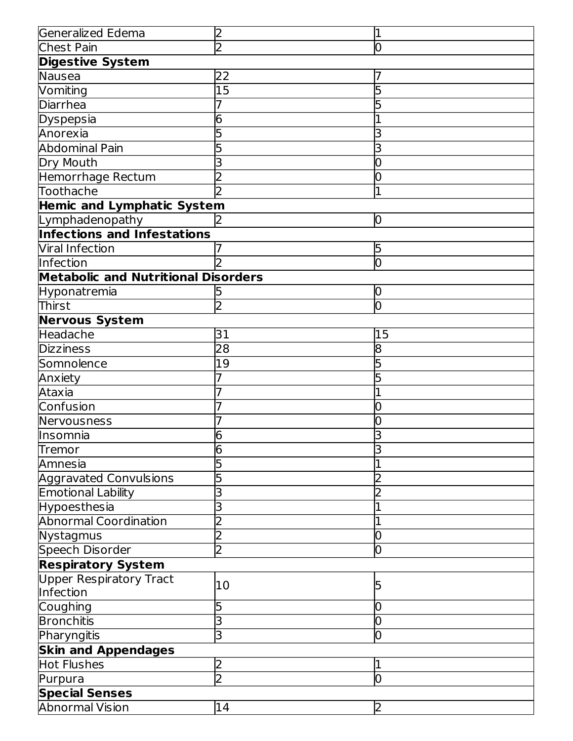| Generalized Edema                          | 2              | L  |  |  |  |
|--------------------------------------------|----------------|----|--|--|--|
| Chest Pain                                 | $\overline{2}$ | 10 |  |  |  |
| <b>Digestive System</b>                    |                |    |  |  |  |
| Nausea                                     | 22             |    |  |  |  |
| Vomiting                                   | 15             |    |  |  |  |
| <b>Diarrhea</b>                            |                |    |  |  |  |
| Dyspepsia                                  | 6              |    |  |  |  |
| Anorexia                                   |                |    |  |  |  |
| <b>Abdominal Pain</b>                      |                |    |  |  |  |
| Dry Mouth                                  |                | 0  |  |  |  |
| Hemorrhage Rectum                          |                |    |  |  |  |
| Toothache                                  |                |    |  |  |  |
| <b>Hemic and Lymphatic System</b>          |                |    |  |  |  |
| Lymphadenopathy                            |                | O  |  |  |  |
| <b>Infections and Infestations</b>         |                |    |  |  |  |
| <b>Viral Infection</b>                     |                | 5  |  |  |  |
| Infection                                  |                | lО |  |  |  |
| <b>Metabolic and Nutritional Disorders</b> |                |    |  |  |  |
| Hyponatremia                               | 5              | 10 |  |  |  |
| Thirst                                     | $\overline{2}$ | lO |  |  |  |
| <b>Nervous System</b>                      |                |    |  |  |  |
| Headache                                   | 31             | 15 |  |  |  |
| <b>Dizziness</b>                           | 28             | 8  |  |  |  |
| Somnolence                                 | 19             |    |  |  |  |
| Anxiety                                    |                |    |  |  |  |
| Ataxia                                     |                |    |  |  |  |
| Confusion                                  |                |    |  |  |  |
| Nervousness                                |                | 0  |  |  |  |
| Insomnia                                   | 6              |    |  |  |  |
| Tremor                                     | 6              | Β  |  |  |  |
| Amnesia                                    |                |    |  |  |  |
| <b>Aggravated Convulsions</b>              |                |    |  |  |  |
| <b>Emotional Lability</b>                  |                |    |  |  |  |
| <b>Hypoesthesia</b>                        | 3              |    |  |  |  |
| <b>Abnormal Coordination</b>               |                |    |  |  |  |
| Nystagmus                                  |                | 0  |  |  |  |
| <b>Speech Disorder</b>                     | $\overline{2}$ | 0  |  |  |  |
| <b>Respiratory System</b>                  |                |    |  |  |  |
| <b>Upper Respiratory Tract</b>             | 10             |    |  |  |  |
| Infection                                  |                |    |  |  |  |
| Coughing                                   | 5              | 0  |  |  |  |
| <b>Bronchitis</b>                          | 3              | 0  |  |  |  |
| Pharyngitis                                | 3              | O  |  |  |  |
| <b>Skin and Appendages</b>                 |                |    |  |  |  |
| <b>Hot Flushes</b>                         | $\overline{2}$ |    |  |  |  |
| Purpura                                    | $\overline{2}$ | O  |  |  |  |
| <b>Special Senses</b>                      |                |    |  |  |  |
| <b>Abnormal Vision</b>                     | 14             | 2  |  |  |  |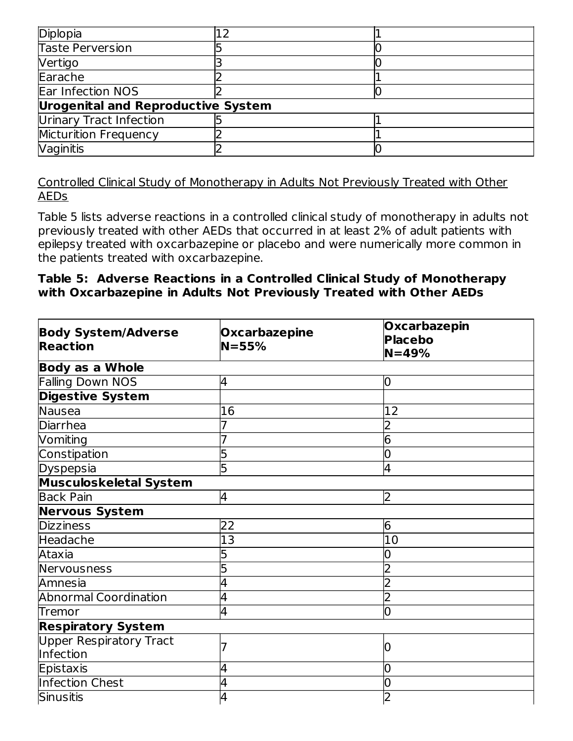| Diplopia                                  |  |  |  |  |  |  |
|-------------------------------------------|--|--|--|--|--|--|
| <b>Taste Perversion</b>                   |  |  |  |  |  |  |
| Vertigo                                   |  |  |  |  |  |  |
| Earache                                   |  |  |  |  |  |  |
| Ear Infection NOS                         |  |  |  |  |  |  |
| <b>Urogenital and Reproductive System</b> |  |  |  |  |  |  |
| Urinary Tract Infection                   |  |  |  |  |  |  |
| Micturition Frequency                     |  |  |  |  |  |  |
| Vaginitis                                 |  |  |  |  |  |  |

Controlled Clinical Study of Monotherapy in Adults Not Previously Treated with Other AEDs

Table 5 lists adverse reactions in a controlled clinical study of monotherapy in adults not previously treated with other AEDs that occurred in at least 2% of adult patients with epilepsy treated with oxcarbazepine or placebo and were numerically more common in the patients treated with oxcarbazepine.

#### **Table 5: Adverse Reactions in a Controlled Clinical Study of Monotherapy with Oxcarbazepine in Adults Not Previously Treated with Other AEDs**

| <b>Body System/Adverse</b><br><b>Reaction</b> | <b>Oxcarbazepine</b><br>$N = 55%$ | <b>Oxcarbazepin</b><br><b>Placebo</b><br>$N = 49%$ |
|-----------------------------------------------|-----------------------------------|----------------------------------------------------|
| <b>Body as a Whole</b>                        |                                   |                                                    |
| <b>Falling Down NOS</b>                       | 4                                 | 0                                                  |
| <b>Digestive System</b>                       |                                   |                                                    |
| Nausea                                        | 16                                | 12                                                 |
| <b>Diarrhea</b>                               |                                   | 2                                                  |
| Vomiting                                      |                                   | 6                                                  |
| Constipation                                  | 5                                 | 0                                                  |
| Dyspepsia                                     | 5                                 | 4                                                  |
| <b>Musculoskeletal System</b>                 |                                   |                                                    |
| <b>Back Pain</b>                              | 4                                 | 2                                                  |
| <b>Nervous System</b>                         |                                   |                                                    |
| <b>Dizziness</b>                              | 22                                | 6                                                  |
| Headache                                      | 13                                | $\overline{10}$                                    |
| Ataxia                                        |                                   | 0                                                  |
| Nervousness                                   | 5                                 | $\overline{2}$                                     |
| Amnesia                                       | 4                                 | $\overline{2}$                                     |
| <b>Abnormal Coordination</b>                  | 4                                 | $\overline{2}$                                     |
| Tremor                                        | 4                                 | 0                                                  |
| <b>Respiratory System</b>                     |                                   |                                                    |
| <b>Upper Respiratory Tract</b>                |                                   | 0                                                  |
| Infection                                     |                                   |                                                    |
| Epistaxis                                     | 4                                 | 0                                                  |
| <b>Infection Chest</b>                        | 4                                 | 0                                                  |
| Sinusitis                                     | 4                                 | $\overline{2}$                                     |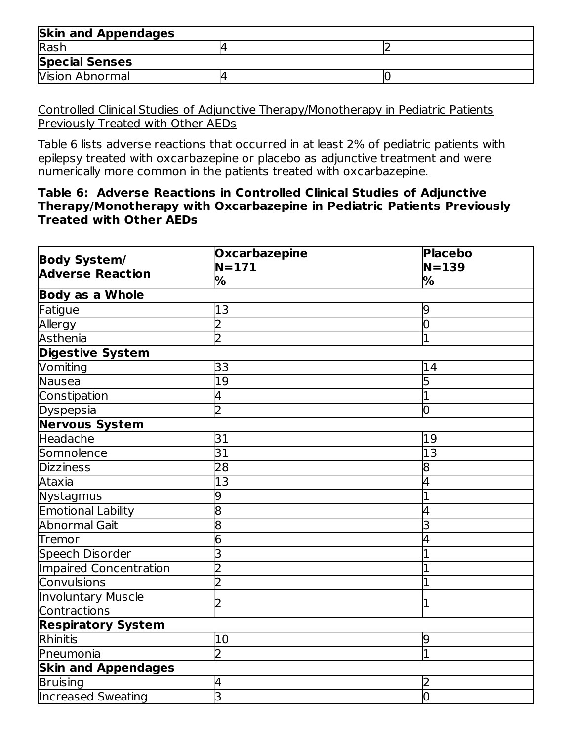| <b>Skin and Appendages</b> |  |
|----------------------------|--|
| Rash                       |  |
| <b>Special Senses</b>      |  |
| <b>Vision Abnormal</b>     |  |

Controlled Clinical Studies of Adjunctive Therapy/Monotherapy in Pediatric Patients Previously Treated with Other AEDs

Table 6 lists adverse reactions that occurred in at least 2% of pediatric patients with epilepsy treated with oxcarbazepine or placebo as adjunctive treatment and were numerically more common in the patients treated with oxcarbazepine.

#### **Table 6: Adverse Reactions in Controlled Clinical Studies of Adjunctive Therapy/Monotherapy with Oxcarbazepine in Pediatric Patients Previously Treated with Other AEDs**

|                            | <b>Oxcarbazepine</b> | <b>Placebo</b>  |  |  |  |  |  |
|----------------------------|----------------------|-----------------|--|--|--|--|--|
| Body System/               | $N = 171$            | $N=139$         |  |  |  |  |  |
| <b>Adverse Reaction</b>    | %                    | %               |  |  |  |  |  |
| <b>Body as a Whole</b>     |                      |                 |  |  |  |  |  |
| <b>Fatigue</b>             | 13                   | 9               |  |  |  |  |  |
| Allergy                    | $\overline{2}$       | $\overline{0}$  |  |  |  |  |  |
| <b>Asthenia</b>            | $\overline{2}$       | $\overline{1}$  |  |  |  |  |  |
| Digestive System           |                      |                 |  |  |  |  |  |
| Vomiting                   | 33                   | 14              |  |  |  |  |  |
| Nausea                     | 19                   | 5               |  |  |  |  |  |
| Constipation               | 4                    | 1               |  |  |  |  |  |
| Dyspepsia                  | $\overline{2}$       | O               |  |  |  |  |  |
| Nervous System             |                      |                 |  |  |  |  |  |
| <b>Headache</b>            | 31                   | 19              |  |  |  |  |  |
| Somnolence                 | 31                   | $\overline{13}$ |  |  |  |  |  |
| <b>Dizziness</b>           | 28                   | 8               |  |  |  |  |  |
| Ataxia                     | $\overline{13}$      | 4               |  |  |  |  |  |
| Nystagmus                  | 9                    | 1               |  |  |  |  |  |
| <b>Emotional Lability</b>  | 8                    | 4               |  |  |  |  |  |
| <b>Abnormal Gait</b>       | 8                    | 3               |  |  |  |  |  |
| <b>Tremor</b>              | 6                    |                 |  |  |  |  |  |
| Speech Disorder            | 3                    |                 |  |  |  |  |  |
| Impaired Concentration     | 2                    |                 |  |  |  |  |  |
| Convulsions                | $\overline{2}$       | 1               |  |  |  |  |  |
| <b>Involuntary Muscle</b>  |                      | 1               |  |  |  |  |  |
| Contractions               |                      |                 |  |  |  |  |  |
| <b>Respiratory System</b>  |                      |                 |  |  |  |  |  |
| Rhinitis                   | 10                   | 9               |  |  |  |  |  |
| Pneumonia                  | $\overline{2}$       | 1               |  |  |  |  |  |
| <b>Skin and Appendages</b> |                      |                 |  |  |  |  |  |
| <b>Bruising</b>            | 4                    | 2               |  |  |  |  |  |
| <b>Increased Sweating</b>  | 3                    | $\overline{0}$  |  |  |  |  |  |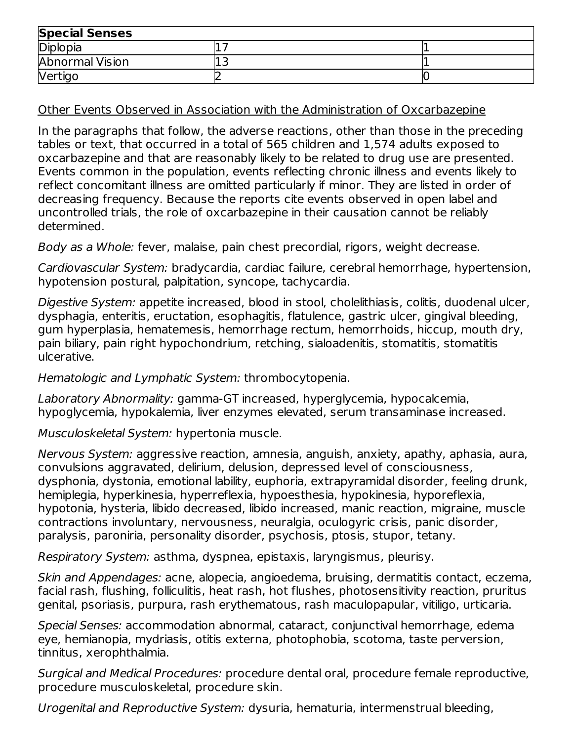| <b>Special Senses</b> |     |  |  |  |
|-----------------------|-----|--|--|--|
| Diplopia              |     |  |  |  |
| Abnormal Vision       | ∸ → |  |  |  |
| Vertigo               |     |  |  |  |

Other Events Observed in Association with the Administration of Oxcarbazepine

In the paragraphs that follow, the adverse reactions, other than those in the preceding tables or text, that occurred in a total of 565 children and 1,574 adults exposed to oxcarbazepine and that are reasonably likely to be related to drug use are presented. Events common in the population, events reflecting chronic illness and events likely to reflect concomitant illness are omitted particularly if minor. They are listed in order of decreasing frequency. Because the reports cite events observed in open label and uncontrolled trials, the role of oxcarbazepine in their causation cannot be reliably determined.

Body as a Whole: fever, malaise, pain chest precordial, rigors, weight decrease.

Cardiovascular System: bradycardia, cardiac failure, cerebral hemorrhage, hypertension, hypotension postural, palpitation, syncope, tachycardia.

Digestive System: appetite increased, blood in stool, cholelithiasis, colitis, duodenal ulcer, dysphagia, enteritis, eructation, esophagitis, flatulence, gastric ulcer, gingival bleeding, gum hyperplasia, hematemesis, hemorrhage rectum, hemorrhoids, hiccup, mouth dry, pain biliary, pain right hypochondrium, retching, sialoadenitis, stomatitis, stomatitis ulcerative.

Hematologic and Lymphatic System: thrombocytopenia.

Laboratory Abnormality: gamma-GT increased, hyperglycemia, hypocalcemia, hypoglycemia, hypokalemia, liver enzymes elevated, serum transaminase increased.

Musculoskeletal System: hypertonia muscle.

Nervous System: aggressive reaction, amnesia, anguish, anxiety, apathy, aphasia, aura, convulsions aggravated, delirium, delusion, depressed level of consciousness, dysphonia, dystonia, emotional lability, euphoria, extrapyramidal disorder, feeling drunk, hemiplegia, hyperkinesia, hyperreflexia, hypoesthesia, hypokinesia, hyporeflexia, hypotonia, hysteria, libido decreased, libido increased, manic reaction, migraine, muscle contractions involuntary, nervousness, neuralgia, oculogyric crisis, panic disorder, paralysis, paroniria, personality disorder, psychosis, ptosis, stupor, tetany.

Respiratory System: asthma, dyspnea, epistaxis, laryngismus, pleurisy.

Skin and Appendages: acne, alopecia, angioedema, bruising, dermatitis contact, eczema, facial rash, flushing, folliculitis, heat rash, hot flushes, photosensitivity reaction, pruritus genital, psoriasis, purpura, rash erythematous, rash maculopapular, vitiligo, urticaria.

Special Senses: accommodation abnormal, cataract, conjunctival hemorrhage, edema eye, hemianopia, mydriasis, otitis externa, photophobia, scotoma, taste perversion, tinnitus, xerophthalmia.

Surgical and Medical Procedures: procedure dental oral, procedure female reproductive, procedure musculoskeletal, procedure skin.

Urogenital and Reproductive System: dysuria, hematuria, intermenstrual bleeding,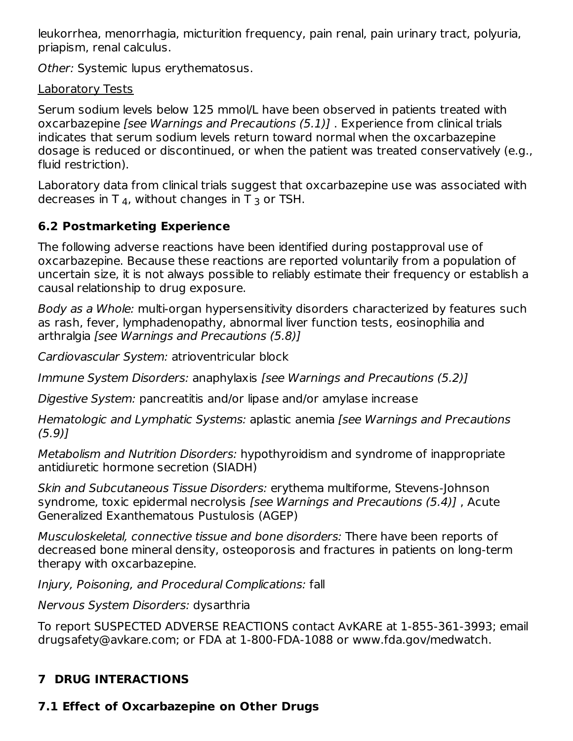leukorrhea, menorrhagia, micturition frequency, pain renal, pain urinary tract, polyuria, priapism, renal calculus.

Other: Systemic lupus erythematosus.

Laboratory Tests

Serum sodium levels below 125 mmol/L have been observed in patients treated with oxcarbazepine [see Warnings and Precautions (5.1)]. Experience from clinical trials indicates that serum sodium levels return toward normal when the oxcarbazepine dosage is reduced or discontinued, or when the patient was treated conservatively (e.g., fluid restriction).

Laboratory data from clinical trials suggest that oxcarbazepine use was associated with decreases in T  $_4$ , without changes in T  $_3$  or TSH.

## **6.2 Postmarketing Experience**

The following adverse reactions have been identified during postapproval use of oxcarbazepine. Because these reactions are reported voluntarily from a population of uncertain size, it is not always possible to reliably estimate their frequency or establish a causal relationship to drug exposure.

Body as a Whole: multi-organ hypersensitivity disorders characterized by features such as rash, fever, lymphadenopathy, abnormal liver function tests, eosinophilia and arthralgia [see Warnings and Precautions (5.8)]

Cardiovascular System: atrioventricular block

Immune System Disorders: anaphylaxis [see Warnings and Precautions (5.2)]

Digestive System: pancreatitis and/or lipase and/or amylase increase

Hematologic and Lymphatic Systems: aplastic anemia [see Warnings and Precautions (5.9)]

Metabolism and Nutrition Disorders: hypothyroidism and syndrome of inappropriate antidiuretic hormone secretion (SIADH)

Skin and Subcutaneous Tissue Disorders: erythema multiforme, Stevens-Johnson syndrome, toxic epidermal necrolysis [see Warnings and Precautions (5.4)], Acute Generalized Exanthematous Pustulosis (AGEP)

Musculoskeletal, connective tissue and bone disorders: There have been reports of decreased bone mineral density, osteoporosis and fractures in patients on long-term therapy with oxcarbazepine.

Injury, Poisoning, and Procedural Complications: fall

Nervous System Disorders: dysarthria

To report SUSPECTED ADVERSE REACTIONS contact AvKARE at 1-855-361-3993; email drugsafety@avkare.com; or FDA at 1-800-FDA-1088 or www.fda.gov/medwatch.

# **7 DRUG INTERACTIONS**

# **7.1 Effect of Oxcarbazepine on Other Drugs**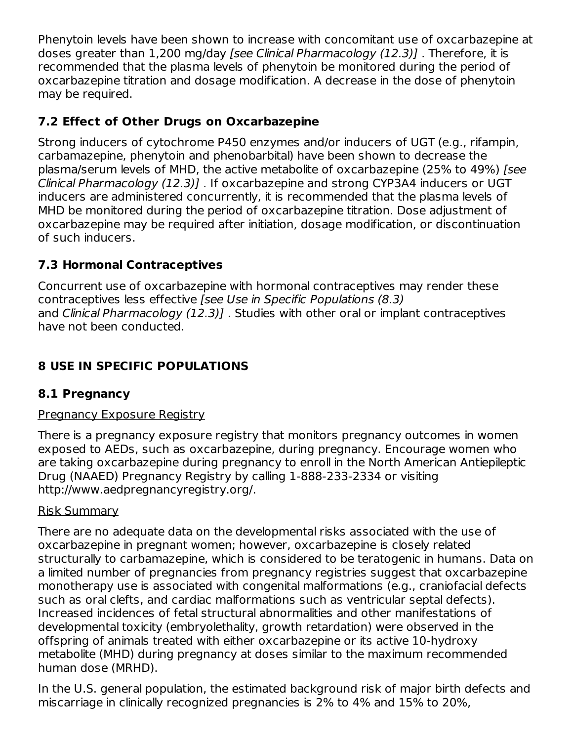Phenytoin levels have been shown to increase with concomitant use of oxcarbazepine at doses greater than 1,200 mg/day [see Clinical Pharmacology (12.3)] . Therefore, it is recommended that the plasma levels of phenytoin be monitored during the period of oxcarbazepine titration and dosage modification. A decrease in the dose of phenytoin may be required.

### **7.2 Effect of Other Drugs on Oxcarbazepine**

Strong inducers of cytochrome P450 enzymes and/or inducers of UGT (e.g., rifampin, carbamazepine, phenytoin and phenobarbital) have been shown to decrease the plasma/serum levels of MHD, the active metabolite of oxcarbazepine (25% to 49%) [see Clinical Pharmacology (12.3)] . If oxcarbazepine and strong CYP3A4 inducers or UGT inducers are administered concurrently, it is recommended that the plasma levels of MHD be monitored during the period of oxcarbazepine titration. Dose adjustment of oxcarbazepine may be required after initiation, dosage modification, or discontinuation of such inducers.

### **7.3 Hormonal Contraceptives**

Concurrent use of oxcarbazepine with hormonal contraceptives may render these contraceptives less effective [see Use in Specific Populations (8.3) and Clinical Pharmacology (12.3)]. Studies with other oral or implant contraceptives have not been conducted.

## **8 USE IN SPECIFIC POPULATIONS**

### **8.1 Pregnancy**

#### Pregnancy Exposure Registry

There is a pregnancy exposure registry that monitors pregnancy outcomes in women exposed to AEDs, such as oxcarbazepine, during pregnancy. Encourage women who are taking oxcarbazepine during pregnancy to enroll in the North American Antiepileptic Drug (NAAED) Pregnancy Registry by calling 1-888-233-2334 or visiting http://www.aedpregnancyregistry.org/.

#### Risk Summary

There are no adequate data on the developmental risks associated with the use of oxcarbazepine in pregnant women; however, oxcarbazepine is closely related structurally to carbamazepine, which is considered to be teratogenic in humans. Data on a limited number of pregnancies from pregnancy registries suggest that oxcarbazepine monotherapy use is associated with congenital malformations (e.g., craniofacial defects such as oral clefts, and cardiac malformations such as ventricular septal defects). Increased incidences of fetal structural abnormalities and other manifestations of developmental toxicity (embryolethality, growth retardation) were observed in the offspring of animals treated with either oxcarbazepine or its active 10-hydroxy metabolite (MHD) during pregnancy at doses similar to the maximum recommended human dose (MRHD).

In the U.S. general population, the estimated background risk of major birth defects and miscarriage in clinically recognized pregnancies is 2% to 4% and 15% to 20%,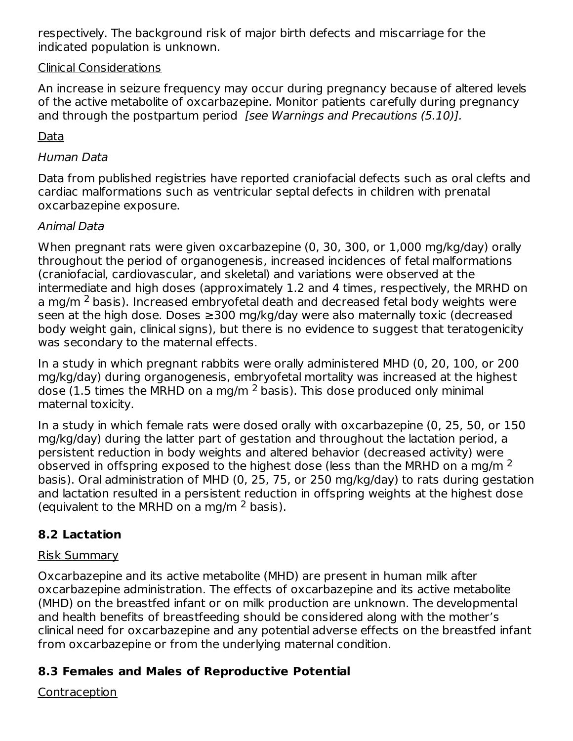respectively. The background risk of major birth defects and miscarriage for the indicated population is unknown.

#### Clinical Considerations

An increase in seizure frequency may occur during pregnancy because of altered levels of the active metabolite of oxcarbazepine. Monitor patients carefully during pregnancy and through the postpartum period [see Warnings and Precautions (5.10)].

#### Data

#### Human Data

Data from published registries have reported craniofacial defects such as oral clefts and cardiac malformations such as ventricular septal defects in children with prenatal oxcarbazepine exposure.

#### Animal Data

When pregnant rats were given oxcarbazepine (0, 30, 300, or 1,000 mg/kg/day) orally throughout the period of organogenesis, increased incidences of fetal malformations (craniofacial, cardiovascular, and skeletal) and variations were observed at the intermediate and high doses (approximately 1.2 and 4 times, respectively, the MRHD on a mg/m <sup>2</sup> basis). Increased embryofetal death and decreased fetal body weights were seen at the high dose. Doses ≥300 mg/kg/day were also maternally toxic (decreased body weight gain, clinical signs), but there is no evidence to suggest that teratogenicity was secondary to the maternal effects.

In a study in which pregnant rabbits were orally administered MHD (0, 20, 100, or 200 mg/kg/day) during organogenesis, embryofetal mortality was increased at the highest dose (1.5 times the MRHD on a mg/m  $^2$  basis). This dose produced only minimal maternal toxicity.

In a study in which female rats were dosed orally with oxcarbazepine (0, 25, 50, or 150 mg/kg/day) during the latter part of gestation and throughout the lactation period, a persistent reduction in body weights and altered behavior (decreased activity) were observed in offspring exposed to the highest dose (less than the MRHD on a mg/m  $^2$ basis). Oral administration of MHD (0, 25, 75, or 250 mg/kg/day) to rats during gestation and lactation resulted in a persistent reduction in offspring weights at the highest dose (equivalent to the MRHD on a mg/m  $^2$  basis).

#### **8.2 Lactation**

#### Risk Summary

Oxcarbazepine and its active metabolite (MHD) are present in human milk after oxcarbazepine administration. The effects of oxcarbazepine and its active metabolite (MHD) on the breastfed infant or on milk production are unknown. The developmental and health benefits of breastfeeding should be considered along with the mother's clinical need for oxcarbazepine and any potential adverse effects on the breastfed infant from oxcarbazepine or from the underlying maternal condition.

#### **8.3 Females and Males of Reproductive Potential**

#### Contraception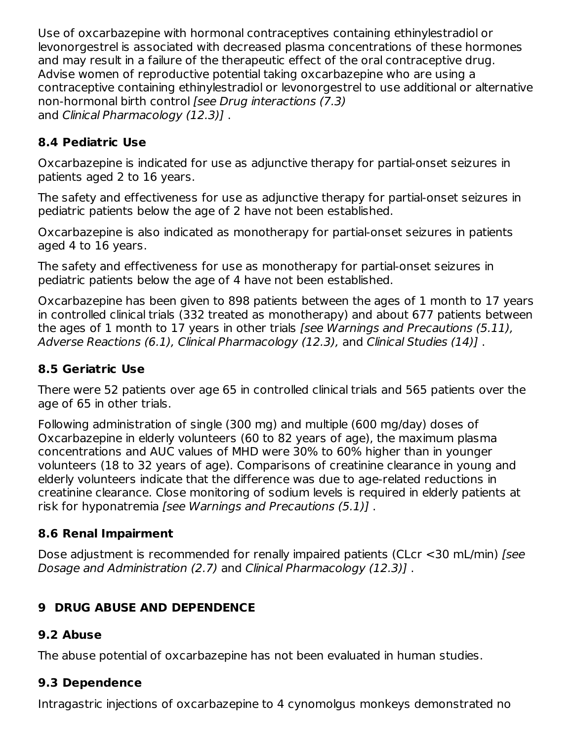Use of oxcarbazepine with hormonal contraceptives containing ethinylestradiol or levonorgestrel is associated with decreased plasma concentrations of these hormones and may result in a failure of the therapeutic effect of the oral contraceptive drug. Advise women of reproductive potential taking oxcarbazepine who are using a contraceptive containing ethinylestradiol or levonorgestrel to use additional or alternative non-hormonal birth control [see Drug interactions (7.3) and Clinical Pharmacology (12.3)].

### **8.4 Pediatric Use**

Oxcarbazepine is indicated for use as adjunctive therapy for partial-onset seizures in patients aged 2 to 16 years.

The safety and effectiveness for use as adjunctive therapy for partial-onset seizures in pediatric patients below the age of 2 have not been established.

Oxcarbazepine is also indicated as monotherapy for partial-onset seizures in patients aged 4 to 16 years.

The safety and effectiveness for use as monotherapy for partial-onset seizures in pediatric patients below the age of 4 have not been established.

Oxcarbazepine has been given to 898 patients between the ages of 1 month to 17 years in controlled clinical trials (332 treated as monotherapy) and about 677 patients between the ages of 1 month to 17 years in other trials [see Warnings and Precautions (5.11), Adverse Reactions (6.1), Clinical Pharmacology (12.3), and Clinical Studies (14)] .

### **8.5 Geriatric Use**

There were 52 patients over age 65 in controlled clinical trials and 565 patients over the age of 65 in other trials.

Following administration of single (300 mg) and multiple (600 mg/day) doses of Oxcarbazepine in elderly volunteers (60 to 82 years of age), the maximum plasma concentrations and AUC values of MHD were 30% to 60% higher than in younger volunteers (18 to 32 years of age). Comparisons of creatinine clearance in young and elderly volunteers indicate that the difference was due to age-related reductions in creatinine clearance. Close monitoring of sodium levels is required in elderly patients at risk for hyponatremia [see Warnings and Precautions (5.1)].

### **8.6 Renal Impairment**

Dose adjustment is recommended for renally impaired patients (CLcr <30 mL/min) [see Dosage and Administration (2.7) and Clinical Pharmacology (12.3)] .

## **9 DRUG ABUSE AND DEPENDENCE**

### **9.2 Abuse**

The abuse potential of oxcarbazepine has not been evaluated in human studies.

# **9.3 Dependence**

Intragastric injections of oxcarbazepine to 4 cynomolgus monkeys demonstrated no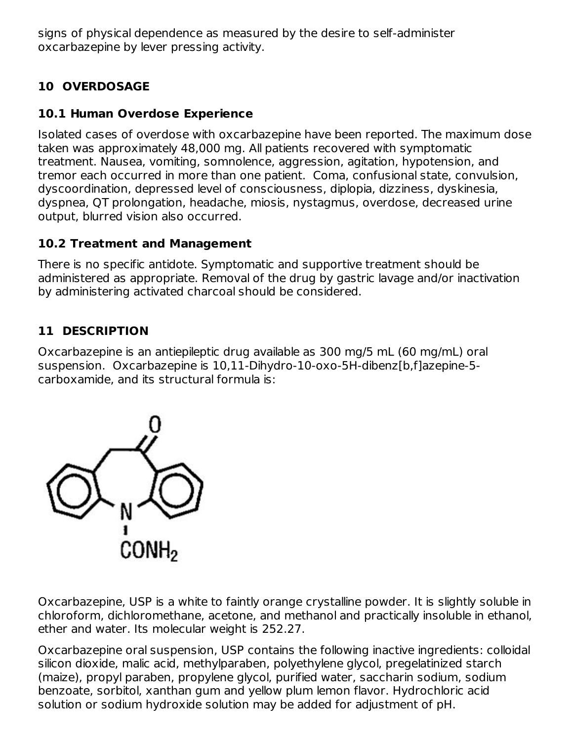signs of physical dependence as measured by the desire to self-administer oxcarbazepine by lever pressing activity.

## **10 OVERDOSAGE**

### **10.1 Human Overdose Experience**

Isolated cases of overdose with oxcarbazepine have been reported. The maximum dose taken was approximately 48,000 mg. All patients recovered with symptomatic treatment. Nausea, vomiting, somnolence, aggression, agitation, hypotension, and tremor each occurred in more than one patient. Coma, confusional state, convulsion, dyscoordination, depressed level of consciousness, diplopia, dizziness, dyskinesia, dyspnea, QT prolongation, headache, miosis, nystagmus, overdose, decreased urine output, blurred vision also occurred.

### **10.2 Treatment and Management**

There is no specific antidote. Symptomatic and supportive treatment should be administered as appropriate. Removal of the drug by gastric lavage and/or inactivation by administering activated charcoal should be considered.

### **11 DESCRIPTION**

Oxcarbazepine is an antiepileptic drug available as 300 mg/5 mL (60 mg/mL) oral suspension. Oxcarbazepine is 10,11-Dihydro-10-oxo-5H-dibenz[b,f]azepine-5 carboxamide, and its structural formula is:



Oxcarbazepine, USP is a white to faintly orange crystalline powder. It is slightly soluble in chloroform, dichloromethane, acetone, and methanol and practically insoluble in ethanol, ether and water. Its molecular weight is 252.27.

Oxcarbazepine oral suspension, USP contains the following inactive ingredients: colloidal silicon dioxide, malic acid, methylparaben, polyethylene glycol, pregelatinized starch (maize), propyl paraben, propylene glycol, purified water, saccharin sodium, sodium benzoate, sorbitol, xanthan gum and yellow plum lemon flavor. Hydrochloric acid solution or sodium hydroxide solution may be added for adjustment of pH.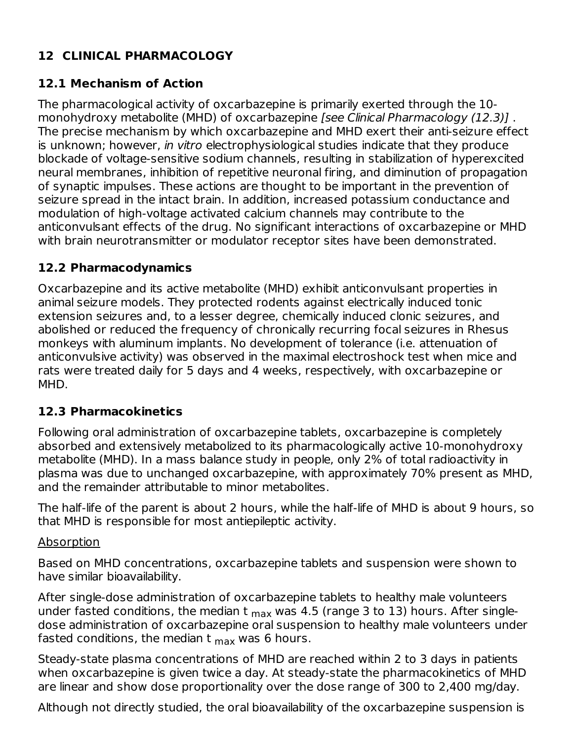### **12 CLINICAL PHARMACOLOGY**

### **12.1 Mechanism of Action**

The pharmacological activity of oxcarbazepine is primarily exerted through the 10 monohydroxy metabolite (MHD) of oxcarbazepine *[see Clinical Pharmacology (12.3)]*. The precise mechanism by which oxcarbazepine and MHD exert their anti-seizure effect is unknown; however, in vitro electrophysiological studies indicate that they produce blockade of voltage-sensitive sodium channels, resulting in stabilization of hyperexcited neural membranes, inhibition of repetitive neuronal firing, and diminution of propagation of synaptic impulses. These actions are thought to be important in the prevention of seizure spread in the intact brain. In addition, increased potassium conductance and modulation of high-voltage activated calcium channels may contribute to the anticonvulsant effects of the drug. No significant interactions of oxcarbazepine or MHD with brain neurotransmitter or modulator receptor sites have been demonstrated.

#### **12.2 Pharmacodynamics**

Oxcarbazepine and its active metabolite (MHD) exhibit anticonvulsant properties in animal seizure models. They protected rodents against electrically induced tonic extension seizures and, to a lesser degree, chemically induced clonic seizures, and abolished or reduced the frequency of chronically recurring focal seizures in Rhesus monkeys with aluminum implants. No development of tolerance (i.e. attenuation of anticonvulsive activity) was observed in the maximal electroshock test when mice and rats were treated daily for 5 days and 4 weeks, respectively, with oxcarbazepine or MHD.

#### **12.3 Pharmacokinetics**

Following oral administration of oxcarbazepine tablets, oxcarbazepine is completely absorbed and extensively metabolized to its pharmacologically active 10-monohydroxy metabolite (MHD). In a mass balance study in people, only 2% of total radioactivity in plasma was due to unchanged oxcarbazepine, with approximately 70% present as MHD, and the remainder attributable to minor metabolites.

The half-life of the parent is about 2 hours, while the half-life of MHD is about 9 hours, so that MHD is responsible for most antiepileptic activity.

#### Absorption

Based on MHD concentrations, oxcarbazepine tablets and suspension were shown to have similar bioavailability.

After single-dose administration of oxcarbazepine tablets to healthy male volunteers under fasted conditions, the median t <sub>max</sub> was 4.5 (range 3 to 13) hours. After singledose administration of oxcarbazepine oral suspension to healthy male volunteers under fasted conditions, the median t  $_{\sf max}$  was 6 hours.

Steady-state plasma concentrations of MHD are reached within 2 to 3 days in patients when oxcarbazepine is given twice a day. At steady-state the pharmacokinetics of MHD are linear and show dose proportionality over the dose range of 300 to 2,400 mg/day.

Although not directly studied, the oral bioavailability of the oxcarbazepine suspension is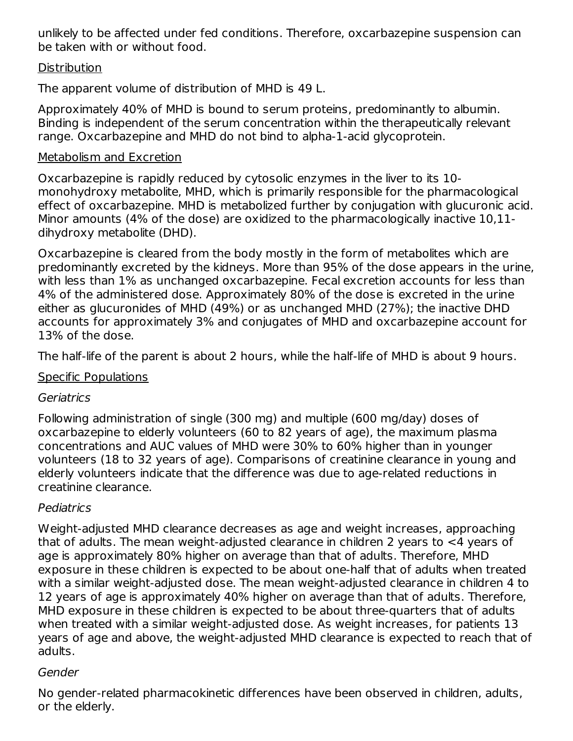unlikely to be affected under fed conditions. Therefore, oxcarbazepine suspension can be taken with or without food.

#### **Distribution**

The apparent volume of distribution of MHD is 49 L.

Approximately 40% of MHD is bound to serum proteins, predominantly to albumin. Binding is independent of the serum concentration within the therapeutically relevant range. Oxcarbazepine and MHD do not bind to alpha-1-acid glycoprotein.

#### Metabolism and Excretion

Oxcarbazepine is rapidly reduced by cytosolic enzymes in the liver to its 10 monohydroxy metabolite, MHD, which is primarily responsible for the pharmacological effect of oxcarbazepine. MHD is metabolized further by conjugation with glucuronic acid. Minor amounts (4% of the dose) are oxidized to the pharmacologically inactive 10,11 dihydroxy metabolite (DHD).

Oxcarbazepine is cleared from the body mostly in the form of metabolites which are predominantly excreted by the kidneys. More than 95% of the dose appears in the urine, with less than 1% as unchanged oxcarbazepine. Fecal excretion accounts for less than 4% of the administered dose. Approximately 80% of the dose is excreted in the urine either as glucuronides of MHD (49%) or as unchanged MHD (27%); the inactive DHD accounts for approximately 3% and conjugates of MHD and oxcarbazepine account for 13% of the dose.

The half-life of the parent is about 2 hours, while the half-life of MHD is about 9 hours.

#### Specific Populations

#### Geriatrics

Following administration of single (300 mg) and multiple (600 mg/day) doses of oxcarbazepine to elderly volunteers (60 to 82 years of age), the maximum plasma concentrations and AUC values of MHD were 30% to 60% higher than in younger volunteers (18 to 32 years of age). Comparisons of creatinine clearance in young and elderly volunteers indicate that the difference was due to age-related reductions in creatinine clearance.

### Pediatrics

Weight-adjusted MHD clearance decreases as age and weight increases, approaching that of adults. The mean weight-adjusted clearance in children 2 years to <4 years of age is approximately 80% higher on average than that of adults. Therefore, MHD exposure in these children is expected to be about one-half that of adults when treated with a similar weight-adjusted dose. The mean weight-adjusted clearance in children 4 to 12 years of age is approximately 40% higher on average than that of adults. Therefore, MHD exposure in these children is expected to be about three-quarters that of adults when treated with a similar weight-adjusted dose. As weight increases, for patients 13 years of age and above, the weight-adjusted MHD clearance is expected to reach that of adults.

#### Gender

No gender-related pharmacokinetic differences have been observed in children, adults, or the elderly.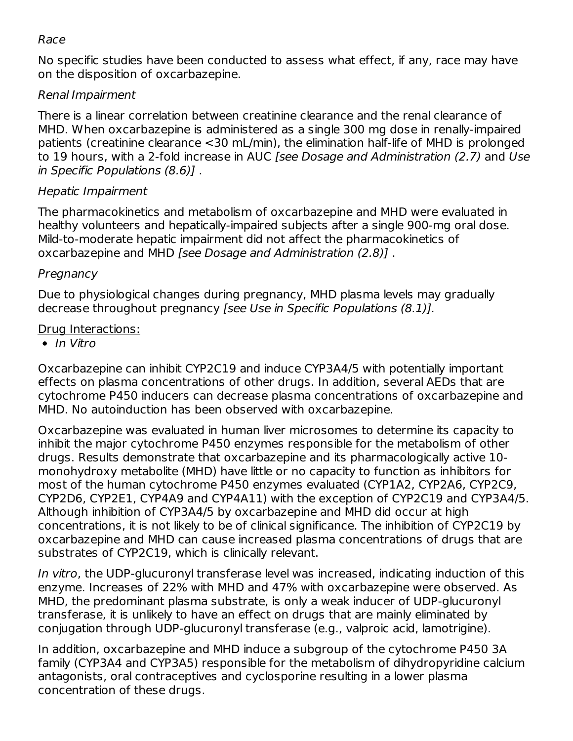#### Race

No specific studies have been conducted to assess what effect, if any, race may have on the disposition of oxcarbazepine.

#### Renal Impairment

There is a linear correlation between creatinine clearance and the renal clearance of MHD. When oxcarbazepine is administered as a single 300 mg dose in renally-impaired patients (creatinine clearance <30 mL/min), the elimination half-life of MHD is prolonged to 19 hours, with a 2-fold increase in AUC [see Dosage and Administration (2.7) and Use in Specific Populations (8.6)] .

#### Hepatic Impairment

The pharmacokinetics and metabolism of oxcarbazepine and MHD were evaluated in healthy volunteers and hepatically-impaired subjects after a single 900-mg oral dose. Mild-to-moderate hepatic impairment did not affect the pharmacokinetics of oxcarbazepine and MHD [see Dosage and Administration (2.8)] .

#### Pregnancy

Due to physiological changes during pregnancy, MHD plasma levels may gradually decrease throughout pregnancy [see Use in Specific Populations (8.1)].

#### Drug Interactions:

 $\bullet$  In Vitro

Oxcarbazepine can inhibit CYP2C19 and induce CYP3A4/5 with potentially important effects on plasma concentrations of other drugs. In addition, several AEDs that are cytochrome P450 inducers can decrease plasma concentrations of oxcarbazepine and MHD. No autoinduction has been observed with oxcarbazepine.

Oxcarbazepine was evaluated in human liver microsomes to determine its capacity to inhibit the major cytochrome P450 enzymes responsible for the metabolism of other drugs. Results demonstrate that oxcarbazepine and its pharmacologically active 10 monohydroxy metabolite (MHD) have little or no capacity to function as inhibitors for most of the human cytochrome P450 enzymes evaluated (CYP1A2, CYP2A6, CYP2C9, CYP2D6, CYP2E1, CYP4A9 and CYP4A11) with the exception of CYP2C19 and CYP3A4/5. Although inhibition of CYP3A4/5 by oxcarbazepine and MHD did occur at high concentrations, it is not likely to be of clinical significance. The inhibition of CYP2C19 by oxcarbazepine and MHD can cause increased plasma concentrations of drugs that are substrates of CYP2C19, which is clinically relevant.

In vitro, the UDP-glucuronyl transferase level was increased, indicating induction of this enzyme. Increases of 22% with MHD and 47% with oxcarbazepine were observed. As MHD, the predominant plasma substrate, is only a weak inducer of UDP-glucuronyl transferase, it is unlikely to have an effect on drugs that are mainly eliminated by conjugation through UDP-glucuronyl transferase (e.g., valproic acid, lamotrigine).

In addition, oxcarbazepine and MHD induce a subgroup of the cytochrome P450 3A family (CYP3A4 and CYP3A5) responsible for the metabolism of dihydropyridine calcium antagonists, oral contraceptives and cyclosporine resulting in a lower plasma concentration of these drugs.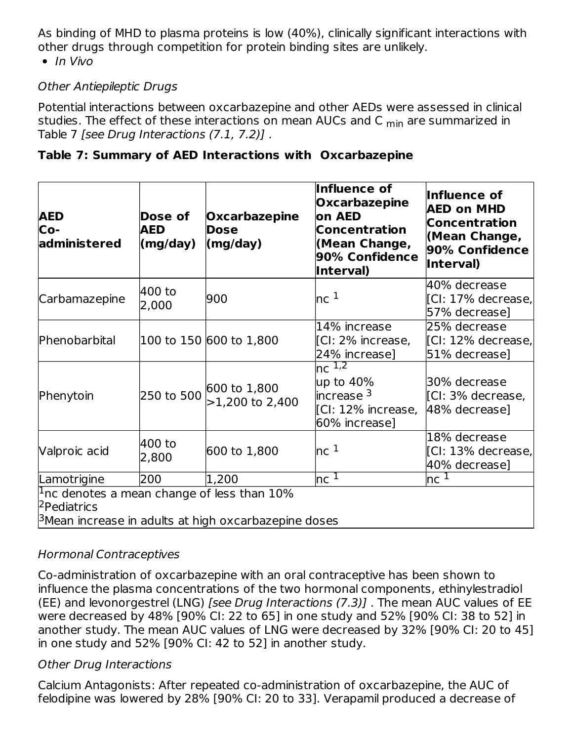As binding of MHD to plasma proteins is low (40%), clinically significant interactions with other drugs through competition for protein binding sites are unlikely.

 $\bullet$  In Vivo

#### Other Antiepileptic Drugs

Potential interactions between oxcarbazepine and other AEDs were assessed in clinical studies. The effect of these interactions on mean AUCs and C <sub>min</sub> are summarized in Table 7 [see Drug Interactions (7.1, 7.2)] .

| Table 7: Summary of AED Interactions with Oxcarbazepine |  |  |
|---------------------------------------------------------|--|--|
|                                                         |  |  |

| <b>AED</b><br>Co-<br>administered                                                                                                       | Dose of<br><b>AED</b><br>(mg/day) | Oxcarbazepine<br><b>Dose</b><br>(mg/day) | Influence of<br><b>Oxcarbazepine</b><br>lon AED<br><b>Concentration</b><br>(Mean Change,<br>90% Confidence<br><b>Interval)</b> | Influence of<br><b>AED on MHD</b><br><b>Concentration</b><br>(Mean Change,<br>90% Confidence<br>Interval) |  |
|-----------------------------------------------------------------------------------------------------------------------------------------|-----------------------------------|------------------------------------------|--------------------------------------------------------------------------------------------------------------------------------|-----------------------------------------------------------------------------------------------------------|--|
| Carbamazepine                                                                                                                           | 400 to<br>2,000                   | 900                                      | nc <sup>1</sup>                                                                                                                | 40% decrease<br>[CI: 17% decrease,<br>57% decrease]                                                       |  |
| Phenobarbital                                                                                                                           |                                   | 100 to 150 600 to 1,800                  | 14% increase<br>[CI: 2% increase,<br>24% increase]                                                                             | 25% decrease<br>[CI: 12% decrease,<br>51% decrease]                                                       |  |
| Phenytoin                                                                                                                               | 250 to 500                        | 600 to 1,800<br>$>1,200$ to 2,400        | nc $1,2$<br>$\mu$ p to 40%<br>$\,$ lincrease $^3$<br>[Cl: 12% increase,<br>60% increase]                                       | 30% decrease<br>[CI: 3% decrease,<br>48% decrease]                                                        |  |
| Valproic acid                                                                                                                           | 400 to<br>2,800                   | 600 to 1,800                             | nc <sup>1</sup>                                                                                                                | 18% decrease<br>[CI: 13% decrease,<br>40% decrease]                                                       |  |
| Lamotrigine                                                                                                                             | 200                               | 1,200                                    | $\mathsf{nc}\;{}^{\mathsf{T}}$                                                                                                 | nc <sup>1</sup>                                                                                           |  |
| $1$ nc denotes a mean change of less than 10%<br><sup>2</sup> Pediatrics<br>$\beta$ Mean increase in adults at high oxcarbazepine doses |                                   |                                          |                                                                                                                                |                                                                                                           |  |

#### Hormonal Contraceptives

Co-administration of oxcarbazepine with an oral contraceptive has been shown to influence the plasma concentrations of the two hormonal components, ethinylestradiol (EE) and levonorgestrel (LNG) [see Drug Interactions (7.3)] . The mean AUC values of EE were decreased by 48% [90% CI: 22 to 65] in one study and 52% [90% CI: 38 to 52] in another study. The mean AUC values of LNG were decreased by 32% [90% CI: 20 to 45] in one study and 52% [90% CI: 42 to 52] in another study.

#### Other Drug Interactions

Calcium Antagonists: After repeated co-administration of oxcarbazepine, the AUC of felodipine was lowered by 28% [90% CI: 20 to 33]. Verapamil produced a decrease of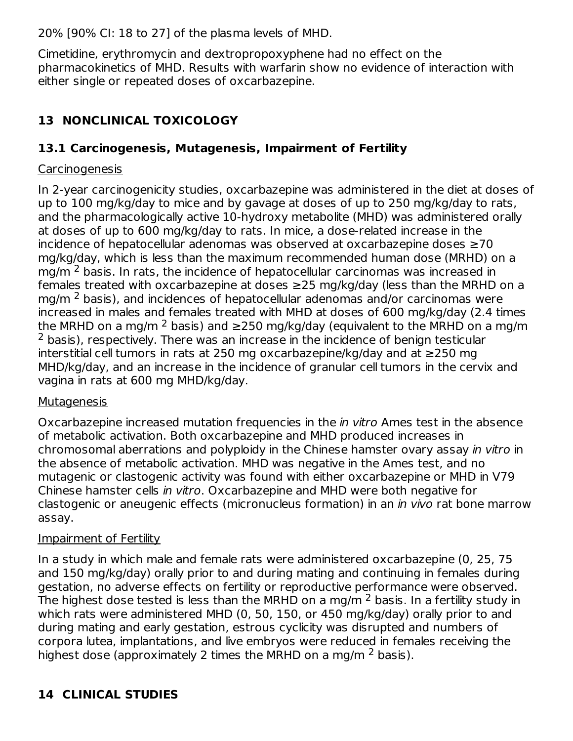20% [90% CI: 18 to 27] of the plasma levels of MHD.

Cimetidine, erythromycin and dextropropoxyphene had no effect on the pharmacokinetics of MHD. Results with warfarin show no evidence of interaction with either single or repeated doses of oxcarbazepine.

## **13 NONCLINICAL TOXICOLOGY**

### **13.1 Carcinogenesis, Mutagenesis, Impairment of Fertility**

#### **Carcinogenesis**

In 2-year carcinogenicity studies, oxcarbazepine was administered in the diet at doses of up to 100 mg/kg/day to mice and by gavage at doses of up to 250 mg/kg/day to rats, and the pharmacologically active 10-hydroxy metabolite (MHD) was administered orally at doses of up to 600 mg/kg/day to rats. In mice, a dose-related increase in the incidence of hepatocellular adenomas was observed at oxcarbazepine doses ≥70 mg/kg/day, which is less than the maximum recommended human dose (MRHD) on a mg/m  $^2$  basis. In rats, the incidence of hepatocellular carcinomas was increased in females treated with oxcarbazepine at doses ≥25 mg/kg/day (less than the MRHD on a mg/m  $^2$  basis), and incidences of hepatocellular adenomas and/or carcinomas were increased in males and females treated with MHD at doses of 600 mg/kg/day (2.4 times the MRHD on a mg/m <sup>2</sup> basis) and ≥250 mg/kg/day (equivalent to the MRHD on a mg/m  $2$  basis), respectively. There was an increase in the incidence of benign testicular interstitial cell tumors in rats at 250 mg oxcarbazepine/kg/day and at ≥250 mg MHD/kg/day, and an increase in the incidence of granular cell tumors in the cervix and vagina in rats at 600 mg MHD/kg/day.

#### **Mutagenesis**

Oxcarbazepine increased mutation frequencies in the in vitro Ames test in the absence of metabolic activation. Both oxcarbazepine and MHD produced increases in chromosomal aberrations and polyploidy in the Chinese hamster ovary assay in vitro in the absence of metabolic activation. MHD was negative in the Ames test, and no mutagenic or clastogenic activity was found with either oxcarbazepine or MHD in V79 Chinese hamster cells in vitro. Oxcarbazepine and MHD were both negative for clastogenic or aneugenic effects (micronucleus formation) in an in vivo rat bone marrow assay.

#### Impairment of Fertility

In a study in which male and female rats were administered oxcarbazepine (0, 25, 75 and 150 mg/kg/day) orally prior to and during mating and continuing in females during gestation, no adverse effects on fertility or reproductive performance were observed. The highest dose tested is less than the MRHD on a mg/m  $^2$  basis. In a fertility study in which rats were administered MHD (0, 50, 150, or 450 mg/kg/day) orally prior to and during mating and early gestation, estrous cyclicity was disrupted and numbers of corpora lutea, implantations, and live embryos were reduced in females receiving the highest dose (approximately 2 times the MRHD on a mg/m  $^2$  basis).

## **14 CLINICAL STUDIES**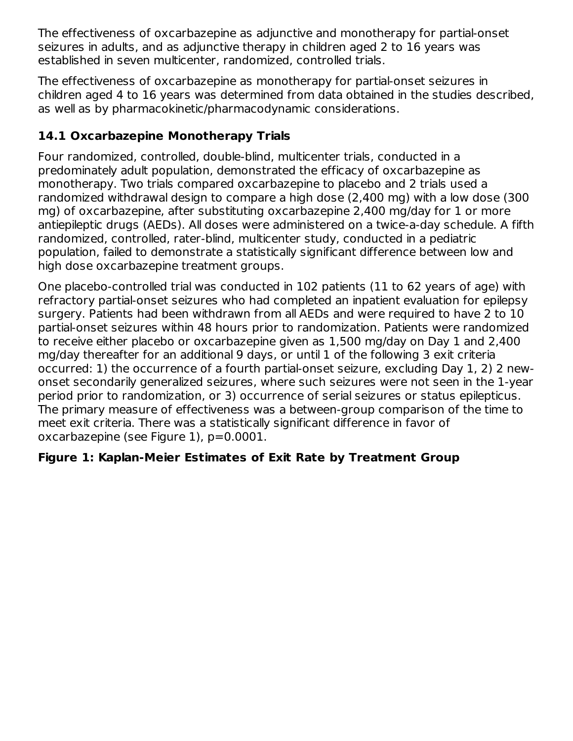The effectiveness of oxcarbazepine as adjunctive and monotherapy for partial-onset seizures in adults, and as adjunctive therapy in children aged 2 to 16 years was established in seven multicenter, randomized, controlled trials.

The effectiveness of oxcarbazepine as monotherapy for partial-onset seizures in children aged 4 to 16 years was determined from data obtained in the studies described, as well as by pharmacokinetic/pharmacodynamic considerations.

### **14.1 Oxcarbazepine Monotherapy Trials**

Four randomized, controlled, double-blind, multicenter trials, conducted in a predominately adult population, demonstrated the efficacy of oxcarbazepine as monotherapy. Two trials compared oxcarbazepine to placebo and 2 trials used a randomized withdrawal design to compare a high dose (2,400 mg) with a low dose (300 mg) of oxcarbazepine, after substituting oxcarbazepine 2,400 mg/day for 1 or more antiepileptic drugs (AEDs). All doses were administered on a twice-a-day schedule. A fifth randomized, controlled, rater-blind, multicenter study, conducted in a pediatric population, failed to demonstrate a statistically significant difference between low and high dose oxcarbazepine treatment groups.

One placebo-controlled trial was conducted in 102 patients (11 to 62 years of age) with refractory partial-onset seizures who had completed an inpatient evaluation for epilepsy surgery. Patients had been withdrawn from all AEDs and were required to have 2 to 10 partial-onset seizures within 48 hours prior to randomization. Patients were randomized to receive either placebo or oxcarbazepine given as 1,500 mg/day on Day 1 and 2,400 mg/day thereafter for an additional 9 days, or until 1 of the following 3 exit criteria occurred: 1) the occurrence of a fourth partial-onset seizure, excluding Day 1, 2) 2 newonset secondarily generalized seizures, where such seizures were not seen in the 1-year period prior to randomization, or 3) occurrence of serial seizures or status epilepticus. The primary measure of effectiveness was a between-group comparison of the time to meet exit criteria. There was a statistically significant difference in favor of oxcarbazepine (see Figure 1), p=0.0001.

### **Figure 1: Kaplan-Meier Estimates of Exit Rate by Treatment Group**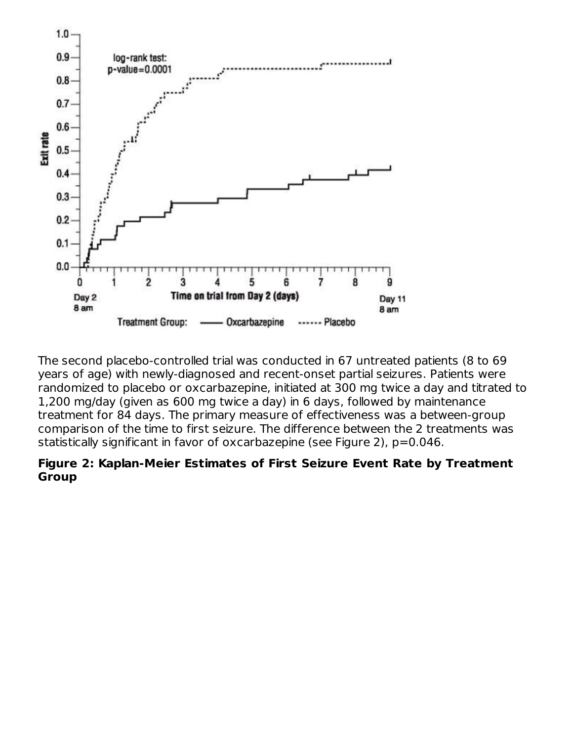

The second placebo-controlled trial was conducted in 67 untreated patients (8 to 69 years of age) with newly-diagnosed and recent-onset partial seizures. Patients were randomized to placebo or oxcarbazepine, initiated at 300 mg twice a day and titrated to 1,200 mg/day (given as 600 mg twice a day) in 6 days, followed by maintenance treatment for 84 days. The primary measure of effectiveness was a between-group comparison of the time to first seizure. The difference between the 2 treatments was statistically significant in favor of oxcarbazepine (see Figure 2), p=0.046.

#### **Figure 2: Kaplan-Meier Estimates of First Seizure Event Rate by Treatment Group**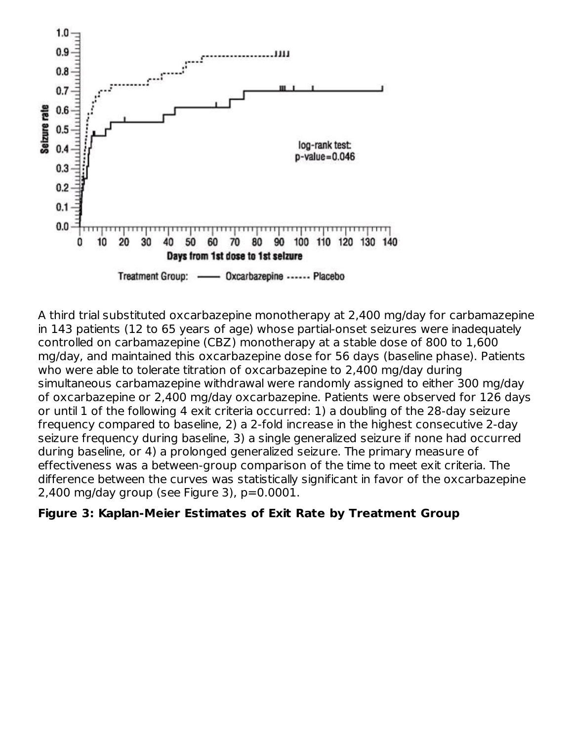

A third trial substituted oxcarbazepine monotherapy at 2,400 mg/day for carbamazepine in 143 patients (12 to 65 years of age) whose partial-onset seizures were inadequately controlled on carbamazepine (CBZ) monotherapy at a stable dose of 800 to 1,600 mg/day, and maintained this oxcarbazepine dose for 56 days (baseline phase). Patients who were able to tolerate titration of oxcarbazepine to 2,400 mg/day during simultaneous carbamazepine withdrawal were randomly assigned to either 300 mg/day of oxcarbazepine or 2,400 mg/day oxcarbazepine. Patients were observed for 126 days or until 1 of the following 4 exit criteria occurred: 1) a doubling of the 28-day seizure frequency compared to baseline, 2) a 2-fold increase in the highest consecutive 2-day seizure frequency during baseline, 3) a single generalized seizure if none had occurred during baseline, or 4) a prolonged generalized seizure. The primary measure of effectiveness was a between-group comparison of the time to meet exit criteria. The difference between the curves was statistically significant in favor of the oxcarbazepine 2,400 mg/day group (see Figure 3),  $p=0.0001$ .

#### **Figure 3: Kaplan-Meier Estimates of Exit Rate by Treatment Group**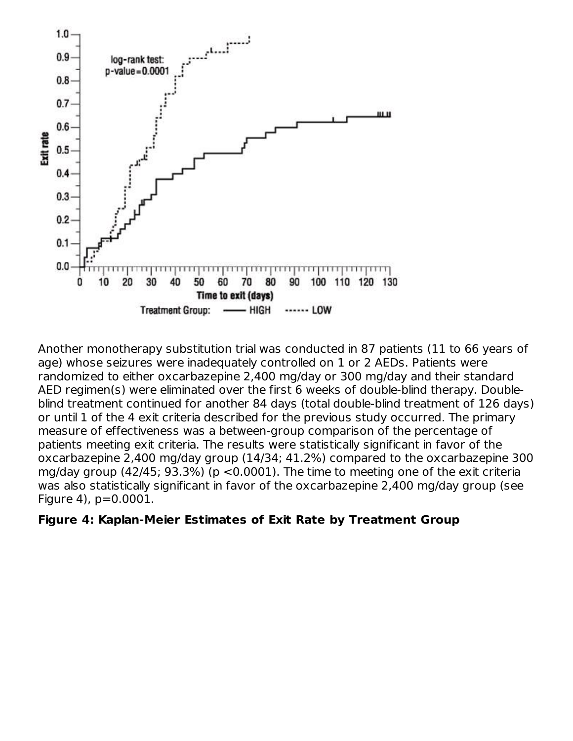

Another monotherapy substitution trial was conducted in 87 patients (11 to 66 years of age) whose seizures were inadequately controlled on 1 or 2 AEDs. Patients were randomized to either oxcarbazepine 2,400 mg/day or 300 mg/day and their standard AED regimen(s) were eliminated over the first 6 weeks of double-blind therapy. Doubleblind treatment continued for another 84 days (total double-blind treatment of 126 days) or until 1 of the 4 exit criteria described for the previous study occurred. The primary measure of effectiveness was a between-group comparison of the percentage of patients meeting exit criteria. The results were statistically significant in favor of the oxcarbazepine 2,400 mg/day group (14/34; 41.2%) compared to the oxcarbazepine 300 mg/day group (42/45; 93.3%) (p <0.0001). The time to meeting one of the exit criteria was also statistically significant in favor of the oxcarbazepine 2,400 mg/day group (see Figure 4), p=0.0001.

#### **Figure 4: Kaplan-Meier Estimates of Exit Rate by Treatment Group**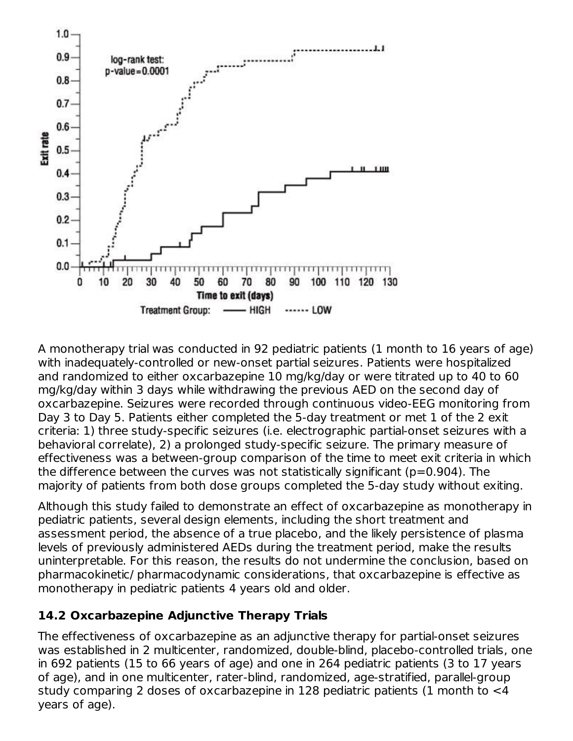

A monotherapy trial was conducted in 92 pediatric patients (1 month to 16 years of age) with inadequately-controlled or new-onset partial seizures. Patients were hospitalized and randomized to either oxcarbazepine 10 mg/kg/day or were titrated up to 40 to 60 mg/kg/day within 3 days while withdrawing the previous AED on the second day of oxcarbazepine. Seizures were recorded through continuous video-EEG monitoring from Day 3 to Day 5. Patients either completed the 5-day treatment or met 1 of the 2 exit criteria: 1) three study-specific seizures (i.e. electrographic partial-onset seizures with a behavioral correlate), 2) a prolonged study-specific seizure. The primary measure of effectiveness was a between-group comparison of the time to meet exit criteria in which the difference between the curves was not statistically significant (p=0.904). The majority of patients from both dose groups completed the 5-day study without exiting.

Although this study failed to demonstrate an effect of oxcarbazepine as monotherapy in pediatric patients, several design elements, including the short treatment and assessment period, the absence of a true placebo, and the likely persistence of plasma levels of previously administered AEDs during the treatment period, make the results uninterpretable. For this reason, the results do not undermine the conclusion, based on pharmacokinetic/ pharmacodynamic considerations, that oxcarbazepine is effective as monotherapy in pediatric patients 4 years old and older.

### **14.2 Oxcarbazepine Adjunctive Therapy Trials**

The effectiveness of oxcarbazepine as an adjunctive therapy for partial-onset seizures was established in 2 multicenter, randomized, double-blind, placebo-controlled trials, one in 692 patients (15 to 66 years of age) and one in 264 pediatric patients (3 to 17 years of age), and in one multicenter, rater-blind, randomized, age-stratified, parallel-group study comparing 2 doses of oxcarbazepine in 128 pediatric patients (1 month to <4 years of age).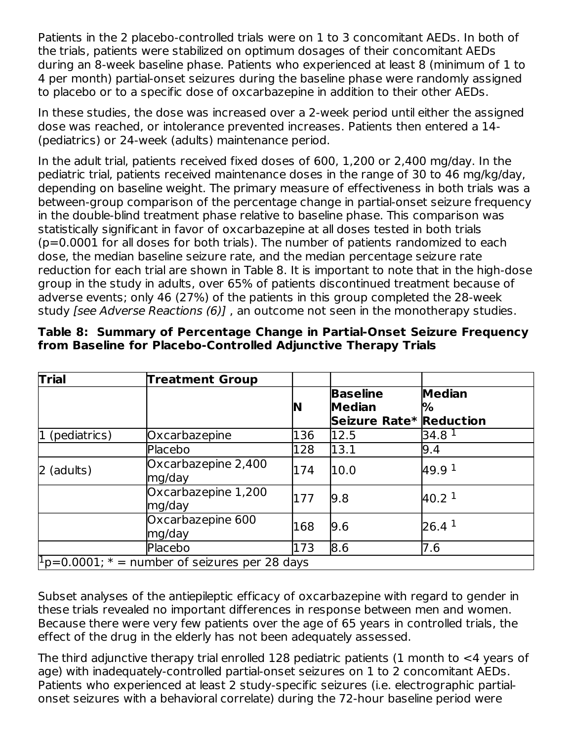Patients in the 2 placebo-controlled trials were on 1 to 3 concomitant AEDs. In both of the trials, patients were stabilized on optimum dosages of their concomitant AEDs during an 8-week baseline phase. Patients who experienced at least 8 (minimum of 1 to 4 per month) partial-onset seizures during the baseline phase were randomly assigned to placebo or to a specific dose of oxcarbazepine in addition to their other AEDs.

In these studies, the dose was increased over a 2-week period until either the assigned dose was reached, or intolerance prevented increases. Patients then entered a 14- (pediatrics) or 24-week (adults) maintenance period.

In the adult trial, patients received fixed doses of 600, 1,200 or 2,400 mg/day. In the pediatric trial, patients received maintenance doses in the range of 30 to 46 mg/kg/day, depending on baseline weight. The primary measure of effectiveness in both trials was a between-group comparison of the percentage change in partial-onset seizure frequency in the double-blind treatment phase relative to baseline phase. This comparison was statistically significant in favor of oxcarbazepine at all doses tested in both trials (p=0.0001 for all doses for both trials). The number of patients randomized to each dose, the median baseline seizure rate, and the median percentage seizure rate reduction for each trial are shown in Table 8. It is important to note that in the high-dose group in the study in adults, over 65% of patients discontinued treatment because of adverse events; only 46 (27%) of the patients in this group completed the 28-week study [see Adverse Reactions (6)], an outcome not seen in the monotherapy studies.

| <b>Trial</b>                                                         | <b>Treatment Group</b>        |     |                                                             |                    |  |  |
|----------------------------------------------------------------------|-------------------------------|-----|-------------------------------------------------------------|--------------------|--|--|
|                                                                      |                               | N   | <b>Baseline</b><br><b>Median</b><br>Seizure Rate* Reduction | <b>Median</b><br>% |  |  |
| $1$ (pediatrics)                                                     | Oxcarbazepine                 | 136 | 12.5                                                        | 34.8 $1$           |  |  |
|                                                                      | Placebo                       | 128 | 13.1                                                        | 9.4                |  |  |
| $2$ (adults)                                                         | Oxcarbazepine 2,400<br>mg/day | 174 | 10.0                                                        | 49.9 <sup>1</sup>  |  |  |
|                                                                      | Oxcarbazepine 1,200<br>mg/day | 177 | 9.8                                                         | 40.2 <sup>1</sup>  |  |  |
|                                                                      | Oxcarbazepine 600<br>mg/day   | 168 | 9.6                                                         | 26.4 <sup>1</sup>  |  |  |
|                                                                      | Placebo                       | 173 | 8.6                                                         | 7.6                |  |  |
| $\overline{P_{\text{D}}=0.0001; *}$ = number of seizures per 28 days |                               |     |                                                             |                    |  |  |

#### **Table 8: Summary of Percentage Change in Partial-Onset Seizure Frequency from Baseline for Placebo-Controlled Adjunctive Therapy Trials**

Subset analyses of the antiepileptic efficacy of oxcarbazepine with regard to gender in these trials revealed no important differences in response between men and women. Because there were very few patients over the age of 65 years in controlled trials, the effect of the drug in the elderly has not been adequately assessed.

The third adjunctive therapy trial enrolled 128 pediatric patients (1 month to <4 years of age) with inadequately-controlled partial-onset seizures on 1 to 2 concomitant AEDs. Patients who experienced at least 2 study-specific seizures (i.e. electrographic partialonset seizures with a behavioral correlate) during the 72-hour baseline period were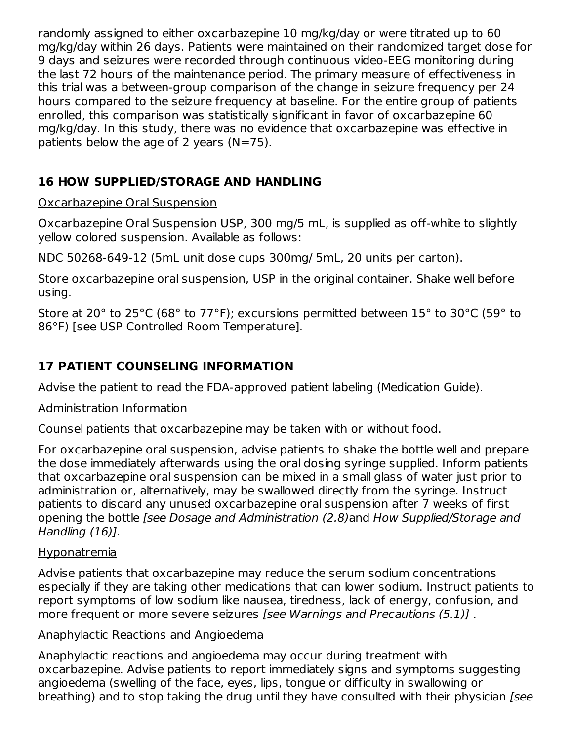randomly assigned to either oxcarbazepine 10 mg/kg/day or were titrated up to 60 mg/kg/day within 26 days. Patients were maintained on their randomized target dose for 9 days and seizures were recorded through continuous video-EEG monitoring during the last 72 hours of the maintenance period. The primary measure of effectiveness in this trial was a between-group comparison of the change in seizure frequency per 24 hours compared to the seizure frequency at baseline. For the entire group of patients enrolled, this comparison was statistically significant in favor of oxcarbazepine 60 mg/kg/day. In this study, there was no evidence that oxcarbazepine was effective in patients below the age of 2 years  $(N=75)$ .

## **16 HOW SUPPLIED/STORAGE AND HANDLING**

### Oxcarbazepine Oral Suspension

Oxcarbazepine Oral Suspension USP, 300 mg/5 mL, is supplied as off-white to slightly yellow colored suspension. Available as follows:

NDC 50268-649-12 (5mL unit dose cups 300mg/ 5mL, 20 units per carton).

Store oxcarbazepine oral suspension, USP in the original container. Shake well before using.

Store at 20° to 25°C (68° to 77°F); excursions permitted between 15° to 30°C (59° to 86°F) [see USP Controlled Room Temperature].

## **17 PATIENT COUNSELING INFORMATION**

Advise the patient to read the FDA-approved patient labeling (Medication Guide).

#### Administration Information

Counsel patients that oxcarbazepine may be taken with or without food.

For oxcarbazepine oral suspension, advise patients to shake the bottle well and prepare the dose immediately afterwards using the oral dosing syringe supplied. Inform patients that oxcarbazepine oral suspension can be mixed in a small glass of water just prior to administration or, alternatively, may be swallowed directly from the syringe. Instruct patients to discard any unused oxcarbazepine oral suspension after 7 weeks of first opening the bottle [see Dosage and Administration (2.8)and How Supplied/Storage and Handling (16)].

#### Hyponatremia

Advise patients that oxcarbazepine may reduce the serum sodium concentrations especially if they are taking other medications that can lower sodium. Instruct patients to report symptoms of low sodium like nausea, tiredness, lack of energy, confusion, and more frequent or more severe seizures [see Warnings and Precautions (5.1)] .

#### Anaphylactic Reactions and Angioedema

Anaphylactic reactions and angioedema may occur during treatment with oxcarbazepine. Advise patients to report immediately signs and symptoms suggesting angioedema (swelling of the face, eyes, lips, tongue or difficulty in swallowing or breathing) and to stop taking the drug until they have consulted with their physician [see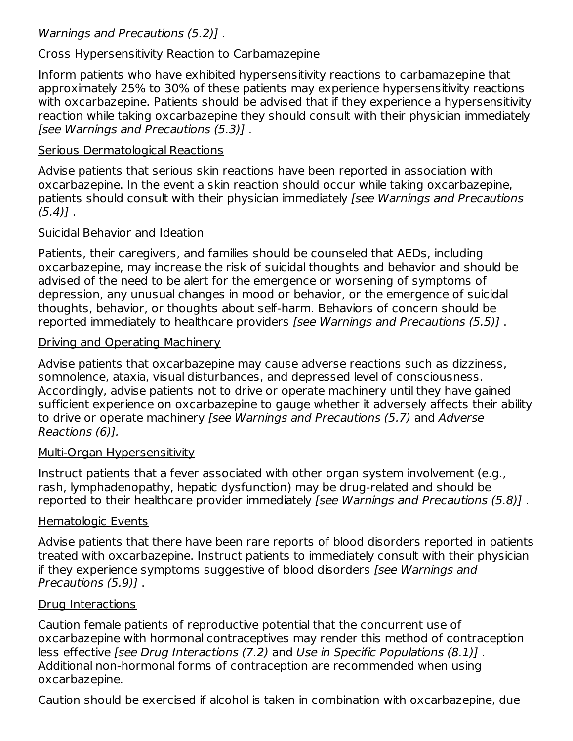### Cross Hypersensitivity Reaction to Carbamazepine

Inform patients who have exhibited hypersensitivity reactions to carbamazepine that approximately 25% to 30% of these patients may experience hypersensitivity reactions with oxcarbazepine. Patients should be advised that if they experience a hypersensitivity reaction while taking oxcarbazepine they should consult with their physician immediately [see Warnings and Precautions (5.3)] .

### Serious Dermatological Reactions

Advise patients that serious skin reactions have been reported in association with oxcarbazepine. In the event a skin reaction should occur while taking oxcarbazepine, patients should consult with their physician immediately [see Warnings and Precautions  $(5.4)$ .

### Suicidal Behavior and Ideation

Patients, their caregivers, and families should be counseled that AEDs, including oxcarbazepine, may increase the risk of suicidal thoughts and behavior and should be advised of the need to be alert for the emergence or worsening of symptoms of depression, any unusual changes in mood or behavior, or the emergence of suicidal thoughts, behavior, or thoughts about self-harm. Behaviors of concern should be reported immediately to healthcare providers [see Warnings and Precautions (5.5)] .

### Driving and Operating Machinery

Advise patients that oxcarbazepine may cause adverse reactions such as dizziness, somnolence, ataxia, visual disturbances, and depressed level of consciousness. Accordingly, advise patients not to drive or operate machinery until they have gained sufficient experience on oxcarbazepine to gauge whether it adversely affects their ability to drive or operate machinery [see Warnings and Precautions (5.7) and Adverse Reactions (6)].

### Multi-Organ Hypersensitivity

Instruct patients that a fever associated with other organ system involvement (e.g., rash, lymphadenopathy, hepatic dysfunction) may be drug-related and should be reported to their healthcare provider immediately [see Warnings and Precautions (5.8)].

### Hematologic Events

Advise patients that there have been rare reports of blood disorders reported in patients treated with oxcarbazepine. Instruct patients to immediately consult with their physician if they experience symptoms suggestive of blood disorders [see Warnings and Precautions (5.9)] .

### Drug Interactions

Caution female patients of reproductive potential that the concurrent use of oxcarbazepine with hormonal contraceptives may render this method of contraception less effective [see Drug Interactions (7.2) and Use in Specific Populations (8.1)] . Additional non-hormonal forms of contraception are recommended when using oxcarbazepine.

Caution should be exercised if alcohol is taken in combination with oxcarbazepine, due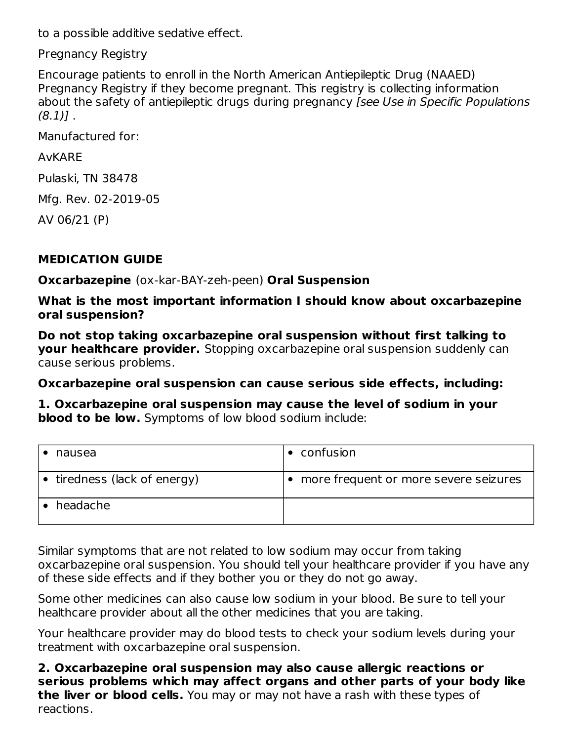to a possible additive sedative effect.

**Pregnancy Registry** 

Encourage patients to enroll in the North American Antiepileptic Drug (NAAED) Pregnancy Registry if they become pregnant. This registry is collecting information about the safety of antiepileptic drugs during pregnancy (see Use in Specific Populations  $(8.1)$ .

Manufactured for:

#### AvKARE

Pulaski, TN 38478

Mfg. Rev. 02-2019-05

AV 06/21 (P)

### **MEDICATION GUIDE**

**Oxcarbazepine** (ox-kar-BAY-zeh-peen) **Oral Suspension**

**What is the most important information I should know about oxcarbazepine oral suspension?**

**Do not stop taking oxcarbazepine oral suspension without first talking to your healthcare provider.** Stopping oxcarbazepine oral suspension suddenly can cause serious problems.

**Oxcarbazepine oral suspension can cause serious side effects, including:**

**1. Oxcarbazepine oral suspension may cause the level of sodium in your blood to be low.** Symptoms of low blood sodium include:

| nausea                       | $\bullet$ confusion                     |
|------------------------------|-----------------------------------------|
| • tiredness (lack of energy) | • more frequent or more severe seizures |
| headache                     |                                         |

Similar symptoms that are not related to low sodium may occur from taking oxcarbazepine oral suspension. You should tell your healthcare provider if you have any of these side effects and if they bother you or they do not go away.

Some other medicines can also cause low sodium in your blood. Be sure to tell your healthcare provider about all the other medicines that you are taking.

Your healthcare provider may do blood tests to check your sodium levels during your treatment with oxcarbazepine oral suspension.

**2. Oxcarbazepine oral suspension may also cause allergic reactions or serious problems which may affect organs and other parts of your body like the liver or blood cells.** You may or may not have a rash with these types of reactions.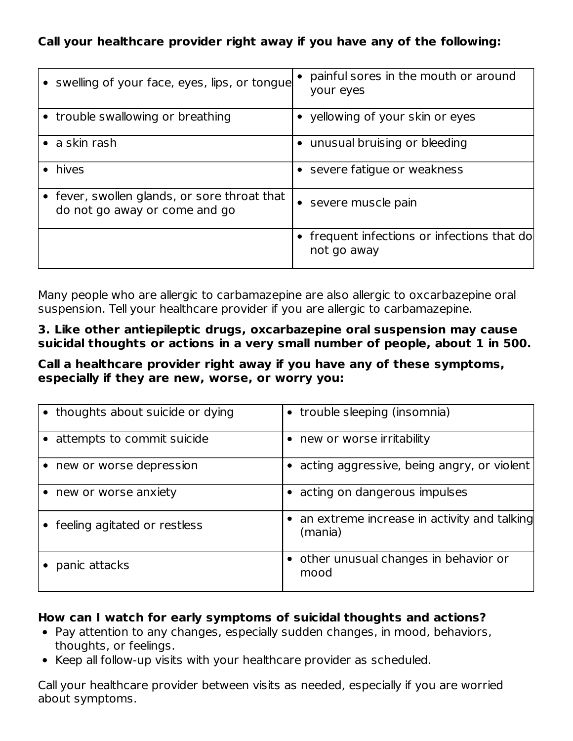### **Call your healthcare provider right away if you have any of the following:**

| • swelling of your face, eyes, lips, or tongue                                | painful sores in the mouth or around<br>your eyes          |
|-------------------------------------------------------------------------------|------------------------------------------------------------|
| • trouble swallowing or breathing                                             | • yellowing of your skin or eyes                           |
| $\bullet$ a skin rash                                                         | unusual bruising or bleeding<br>$\bullet$                  |
| hives                                                                         | • severe fatigue or weakness                               |
| • fever, swollen glands, or sore throat that<br>do not go away or come and go | severe muscle pain<br>$\bullet$                            |
|                                                                               | • frequent infections or infections that do<br>not go away |

Many people who are allergic to carbamazepine are also allergic to oxcarbazepine oral suspension. Tell your healthcare provider if you are allergic to carbamazepine.

#### **3. Like other antiepileptic drugs, oxcarbazepine oral suspension may cause suicidal thoughts or actions in a very small number of people, about 1 in 500.**

#### **Call a healthcare provider right away if you have any of these symptoms, especially if they are new, worse, or worry you:**

| • thoughts about suicide or dying | • trouble sleeping (insomnia)                            |
|-----------------------------------|----------------------------------------------------------|
| • attempts to commit suicide      | • new or worse irritability                              |
| • new or worse depression         | • acting aggressive, being angry, or violent             |
| • new or worse anxiety            | • acting on dangerous impulses                           |
| • feeling agitated or restless    | • an extreme increase in activity and talking<br>(mania) |
| panic attacks                     | • other unusual changes in behavior or<br>mood           |

#### **How can I watch for early symptoms of suicidal thoughts and actions?**

- Pay attention to any changes, especially sudden changes, in mood, behaviors, thoughts, or feelings.
- Keep all follow-up visits with your healthcare provider as scheduled.

Call your healthcare provider between visits as needed, especially if you are worried about symptoms.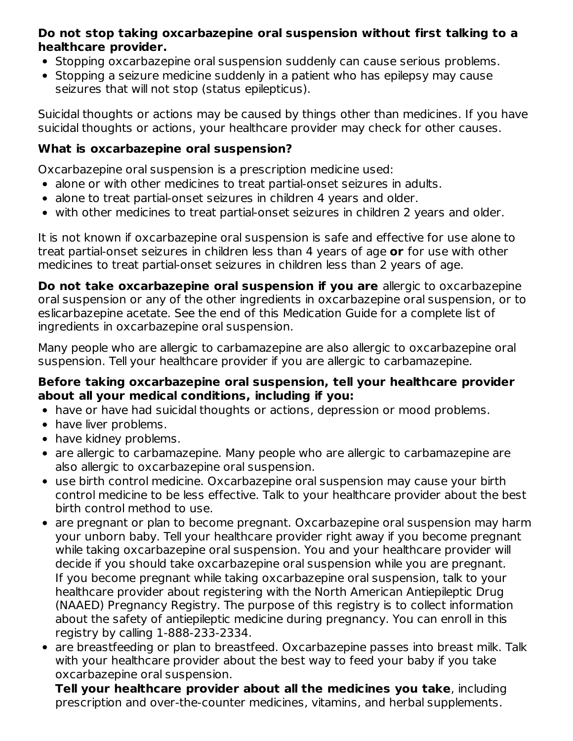#### **Do not stop taking oxcarbazepine oral suspension without first talking to a healthcare provider.**

- Stopping oxcarbazepine oral suspension suddenly can cause serious problems.
- Stopping a seizure medicine suddenly in a patient who has epilepsy may cause seizures that will not stop (status epilepticus).

Suicidal thoughts or actions may be caused by things other than medicines. If you have suicidal thoughts or actions, your healthcare provider may check for other causes.

### **What is oxcarbazepine oral suspension?**

Oxcarbazepine oral suspension is a prescription medicine used:

- alone or with other medicines to treat partial-onset seizures in adults.
- alone to treat partial-onset seizures in children 4 years and older.
- with other medicines to treat partial-onset seizures in children 2 years and older.

It is not known if oxcarbazepine oral suspension is safe and effective for use alone to treat partial-onset seizures in children less than 4 years of age **or** for use with other medicines to treat partial-onset seizures in children less than 2 years of age.

**Do not take oxcarbazepine oral suspension if you are** allergic to oxcarbazepine oral suspension or any of the other ingredients in oxcarbazepine oral suspension, or to eslicarbazepine acetate. See the end of this Medication Guide for a complete list of ingredients in oxcarbazepine oral suspension.

Many people who are allergic to carbamazepine are also allergic to oxcarbazepine oral suspension. Tell your healthcare provider if you are allergic to carbamazepine.

#### **Before taking oxcarbazepine oral suspension, tell your healthcare provider about all your medical conditions, including if you:**

- have or have had suicidal thoughts or actions, depression or mood problems.
- have liver problems.
- have kidney problems.
- are allergic to carbamazepine. Many people who are allergic to carbamazepine are also allergic to oxcarbazepine oral suspension.
- use birth control medicine. Oxcarbazepine oral suspension may cause your birth control medicine to be less effective. Talk to your healthcare provider about the best birth control method to use.
- are pregnant or plan to become pregnant. Oxcarbazepine oral suspension may harm your unborn baby. Tell your healthcare provider right away if you become pregnant while taking oxcarbazepine oral suspension. You and your healthcare provider will decide if you should take oxcarbazepine oral suspension while you are pregnant. If you become pregnant while taking oxcarbazepine oral suspension, talk to your healthcare provider about registering with the North American Antiepileptic Drug (NAAED) Pregnancy Registry. The purpose of this registry is to collect information about the safety of antiepileptic medicine during pregnancy. You can enroll in this registry by calling 1-888-233-2334.
- are breastfeeding or plan to breastfeed. Oxcarbazepine passes into breast milk. Talk with your healthcare provider about the best way to feed your baby if you take oxcarbazepine oral suspension.

**Tell your healthcare provider about all the medicines you take**, including prescription and over-the-counter medicines, vitamins, and herbal supplements.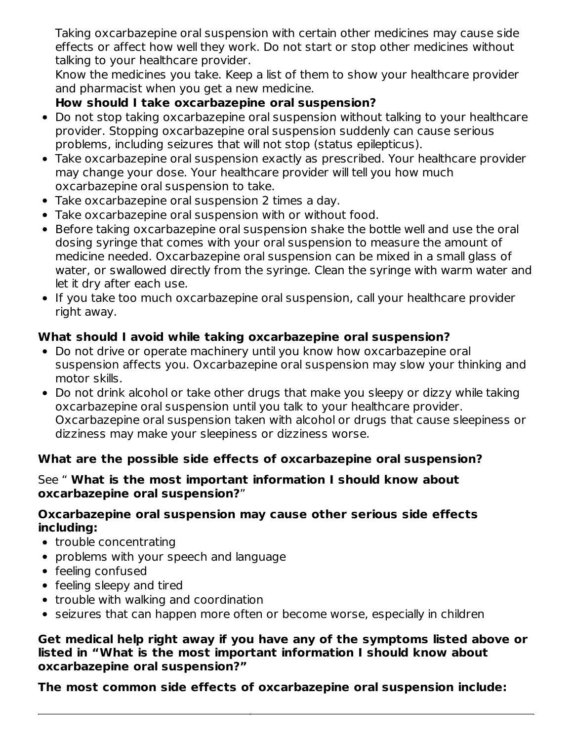Taking oxcarbazepine oral suspension with certain other medicines may cause side effects or affect how well they work. Do not start or stop other medicines without talking to your healthcare provider.

Know the medicines you take. Keep a list of them to show your healthcare provider and pharmacist when you get a new medicine.

## **How should I take oxcarbazepine oral suspension?**

- Do not stop taking oxcarbazepine oral suspension without talking to your healthcare provider. Stopping oxcarbazepine oral suspension suddenly can cause serious problems, including seizures that will not stop (status epilepticus).
- Take oxcarbazepine oral suspension exactly as prescribed. Your healthcare provider may change your dose. Your healthcare provider will tell you how much oxcarbazepine oral suspension to take.
- Take oxcarbazepine oral suspension 2 times a day.
- Take oxcarbazepine oral suspension with or without food.
- Before taking oxcarbazepine oral suspension shake the bottle well and use the oral dosing syringe that comes with your oral suspension to measure the amount of medicine needed. Oxcarbazepine oral suspension can be mixed in a small glass of water, or swallowed directly from the syringe. Clean the syringe with warm water and let it dry after each use.
- If you take too much oxcarbazepine oral suspension, call your healthcare provider right away.

### **What should I avoid while taking oxcarbazepine oral suspension?**

- Do not drive or operate machinery until you know how oxcarbazepine oral suspension affects you. Oxcarbazepine oral suspension may slow your thinking and motor skills.
- Do not drink alcohol or take other drugs that make you sleepy or dizzy while taking oxcarbazepine oral suspension until you talk to your healthcare provider. Oxcarbazepine oral suspension taken with alcohol or drugs that cause sleepiness or dizziness may make your sleepiness or dizziness worse.

### **What are the possible side effects of oxcarbazepine oral suspension?**

#### See " **What is the most important information I should know about oxcarbazepine oral suspension?**"

#### **Oxcarbazepine oral suspension may cause other serious side effects including:**

- trouble concentrating
- problems with your speech and language
- feeling confused
- feeling sleepy and tired
- trouble with walking and coordination
- seizures that can happen more often or become worse, especially in children

#### **Get medical help right away if you have any of the symptoms listed above or listed in "What is the most important information I should know about oxcarbazepine oral suspension?"**

**The most common side effects of oxcarbazepine oral suspension include:**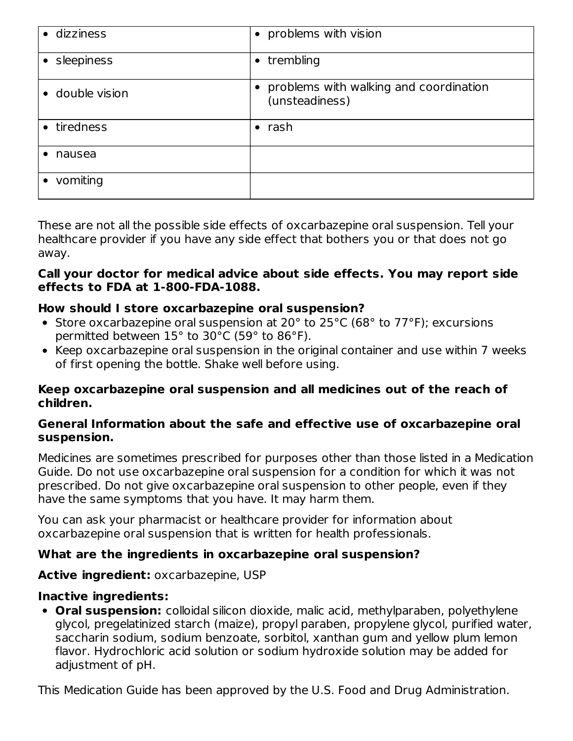| · dizziness     | • problems with vision                                   |
|-----------------|----------------------------------------------------------|
| • sleepiness    | $\bullet$ trembling                                      |
| • double vision | problems with walking and coordination<br>(unsteadiness) |
| • tiredness     | rash<br>$\bullet$                                        |
| nausea          |                                                          |
| vomiting        |                                                          |

These are not all the possible side effects of oxcarbazepine oral suspension. Tell your healthcare provider if you have any side effect that bothers you or that does not go away.

#### **Call your doctor for medical advice about side effects. You may report side effects to FDA at 1-800-FDA-1088.**

#### **How should I store oxcarbazepine oral suspension?**

- Store oxcarbazepine oral suspension at 20 $^{\circ}$  to 25 $^{\circ}$ C (68 $^{\circ}$  to 77 $^{\circ}$ F); excursions permitted between 15° to 30°C (59° to 86°F).
- Keep oxcarbazepine oral suspension in the original container and use within 7 weeks of first opening the bottle. Shake well before using.

#### **Keep oxcarbazepine oral suspension and all medicines out of the reach of children.**

#### **General Information about the safe and effective use of oxcarbazepine oral suspension.**

Medicines are sometimes prescribed for purposes other than those listed in a Medication Guide. Do not use oxcarbazepine oral suspension for a condition for which it was not prescribed. Do not give oxcarbazepine oral suspension to other people, even if they have the same symptoms that you have. It may harm them.

You can ask your pharmacist or healthcare provider for information about oxcarbazepine oral suspension that is written for health professionals.

#### **What are the ingredients in oxcarbazepine oral suspension?**

#### **Active ingredient:** oxcarbazepine, USP

#### **Inactive ingredients:**

**Oral suspension:** colloidal silicon dioxide, malic acid, methylparaben, polyethylene glycol, pregelatinized starch (maize), propyl paraben, propylene glycol, purified water, saccharin sodium, sodium benzoate, sorbitol, xanthan gum and yellow plum lemon flavor. Hydrochloric acid solution or sodium hydroxide solution may be added for adjustment of pH.

This Medication Guide has been approved by the U.S. Food and Drug Administration.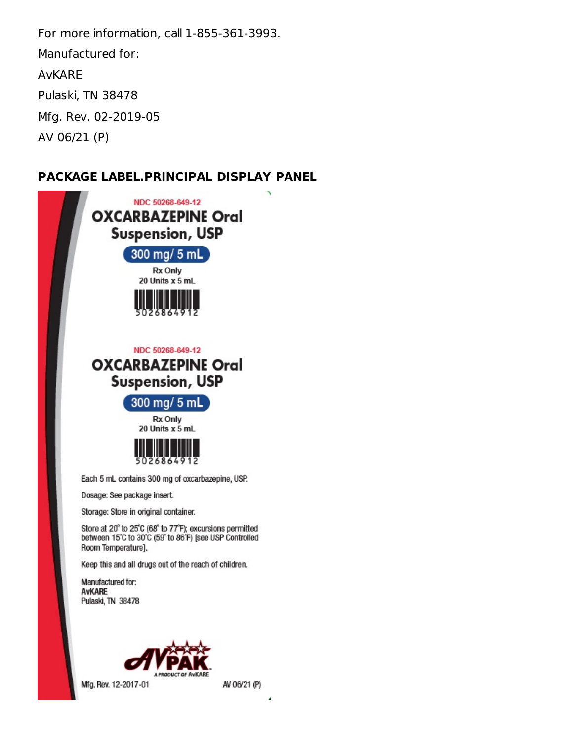For more information, call 1-855-361-3993. Manufactured for: AvKARE Pulaski, TN 38478 Mfg. Rev. 02-2019-05 AV 06/21 (P)

#### **PACKAGE LABEL.PRINCIPAL DISPLAY PANEL**



ź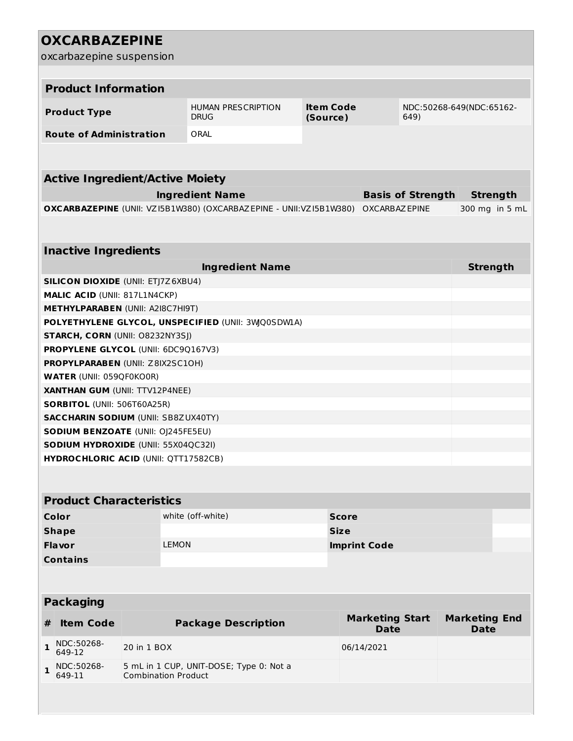| <b>OXCARBAZEPINE</b>                                                                      |              |                           |                  |                          |                          |  |
|-------------------------------------------------------------------------------------------|--------------|---------------------------|------------------|--------------------------|--------------------------|--|
| oxcarbazepine suspension                                                                  |              |                           |                  |                          |                          |  |
|                                                                                           |              |                           |                  |                          |                          |  |
| <b>Product Information</b>                                                                |              |                           |                  |                          |                          |  |
|                                                                                           |              | <b>HUMAN PRESCRIPTION</b> | <b>Item Code</b> |                          | NDC:50268-649(NDC:65162- |  |
| <b>Product Type</b>                                                                       |              | <b>DRUG</b>               | (Source)         | 649)                     |                          |  |
| <b>Route of Administration</b>                                                            |              | ORAL                      |                  |                          |                          |  |
|                                                                                           |              |                           |                  |                          |                          |  |
|                                                                                           |              |                           |                  |                          |                          |  |
| <b>Active Ingredient/Active Moiety</b>                                                    |              |                           |                  |                          |                          |  |
|                                                                                           |              | <b>Ingredient Name</b>    |                  | <b>Basis of Strength</b> | <b>Strength</b>          |  |
| OXCARBAZEPINE (UNII: VZ15B1W380) (OXCARBAZEPINE - UNII:VZ15B1W380)                        |              |                           |                  | <b>OXCARBAZ EPINE</b>    | 300 mg in 5 mL           |  |
|                                                                                           |              |                           |                  |                          |                          |  |
|                                                                                           |              |                           |                  |                          |                          |  |
| <b>Inactive Ingredients</b>                                                               |              |                           |                  |                          |                          |  |
|                                                                                           |              | <b>Ingredient Name</b>    |                  |                          | <b>Strength</b>          |  |
| <b>SILICON DIOXIDE (UNII: ETJ7Z6XBU4)</b>                                                 |              |                           |                  |                          |                          |  |
| MALIC ACID (UNII: 817L1N4CKP)                                                             |              |                           |                  |                          |                          |  |
| <b>METHYLPARABEN (UNII: A2I8C7HI9T)</b>                                                   |              |                           |                  |                          |                          |  |
| POLYETHYLENE GLYCOL, UNSPECIFIED (UNII: 3WQ0SDWLA)                                        |              |                           |                  |                          |                          |  |
| <b>STARCH, CORN (UNII: O8232NY3SJ)</b>                                                    |              |                           |                  |                          |                          |  |
| PROPYLENE GLYCOL (UNII: 6DC9Q167V3)                                                       |              |                           |                  |                          |                          |  |
| PROPYLPARABEN (UNII: Z8IX2SC10H)                                                          |              |                           |                  |                          |                          |  |
| <b>WATER (UNII: 059QF0KO0R)</b>                                                           |              |                           |                  |                          |                          |  |
| <b>XANTHAN GUM (UNII: TTV12P4NEE)</b>                                                     |              |                           |                  |                          |                          |  |
| <b>SORBITOL (UNII: 506T60A25R)</b>                                                        |              |                           |                  |                          |                          |  |
| <b>SACCHARIN SODIUM (UNII: SB8ZUX40TY)</b>                                                |              |                           |                  |                          |                          |  |
| <b>SODIUM BENZOATE (UNII: OJ245FE5EU)</b>                                                 |              |                           |                  |                          |                          |  |
| <b>SODIUM HYDROXIDE (UNII: 55X04QC32I)</b><br><b>HYDROCHLORIC ACID (UNII: QTT17582CB)</b> |              |                           |                  |                          |                          |  |
|                                                                                           |              |                           |                  |                          |                          |  |
|                                                                                           |              |                           |                  |                          |                          |  |
| <b>Product Characteristics</b>                                                            |              |                           |                  |                          |                          |  |
| Color                                                                                     |              | white (off-white)         | <b>Score</b>     |                          |                          |  |
| <b>Shape</b>                                                                              |              |                           | <b>Size</b>      |                          |                          |  |
| <b>Flavor</b>                                                                             | <b>LEMON</b> |                           |                  | <b>Imprint Code</b>      |                          |  |
| <b>Contains</b>                                                                           |              |                           |                  |                          |                          |  |
|                                                                                           |              |                           |                  |                          |                          |  |
|                                                                                           |              |                           |                  |                          |                          |  |
| <b>Packaging</b>                                                                          |              |                           |                  |                          |                          |  |
|                                                                                           |              |                           |                  |                          |                          |  |

| # | <b>Item Code</b>                | <b>Package Description</b>                                            | <b>Marketing Start</b><br><b>Date</b> | <b>Marketing End</b><br><b>Date</b> |
|---|---------------------------------|-----------------------------------------------------------------------|---------------------------------------|-------------------------------------|
|   | $1 \big _{649-12}^{NDC:50268-}$ | 20 in 1 BOX                                                           | 06/14/2021                            |                                     |
|   | NDC:50268-<br>649-11            | 5 mL in 1 CUP, UNIT-DOSE; Type 0: Not a<br><b>Combination Product</b> |                                       |                                     |
|   |                                 |                                                                       |                                       |                                     |